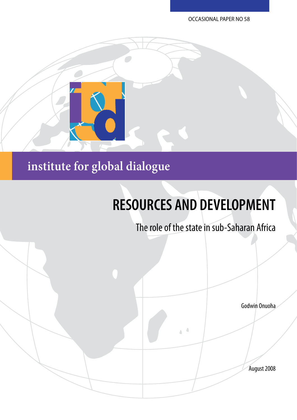OCCASIONAL PAPER NO 58



## **institute for global dialogue institute for global dialogue**

# **RESOURCES AND DEVELOPMENT**

 $\hat{\phantom{a}}$  $\overline{\phantom{a}}$ 

The role of the state in sub-Saharan Africa

Godwin Onuoha

August 2008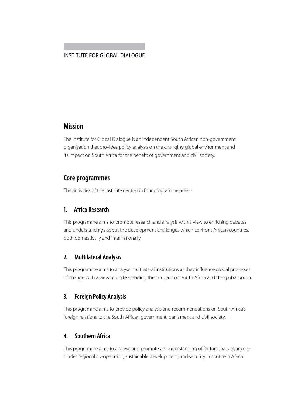#### INSTITUTE FOR GLOBAL DIALOGUE

## **Mission**

The Institute for Global Dialogue is an independent South African non-government organisation that provides policy analysis on the changing global environment and its impact on South Africa for the benefit of government and civil society.

## **Core programmes**

The activities of the Institute centre on four programme areas:

## **1. Africa Research**

This programme aims to promote research and analysis with a view to enriching debates and understandings about the development challenges which confront African countries, both domestically and internationally.

## **2. Multilateral Analysis**

This programme aims to analyse multilateral institutions as they influence global processes of change with a view to understanding their impact on South Africa and the global South.

## **3. Foreign Policy Analysis**

This programme aims to provide policy analysis and recommendations on South Africa's foreign relations to the South African government, parliament and civil society.

## **4. Southern Africa**

This programme aims to analyse and promote an understanding of factors that advance or hinder regional co-operation, sustainable development, and security in southern Africa.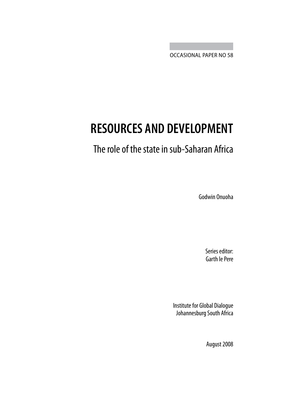OCCASIONAL PAPER NO 58

## **RESOURCES AND DEVELOPMENT**

## The role of the state in sub-Saharan Africa

Godwin Onuoha

Series editor: Garth le Pere

Institute for Global Dialogue Johannesburg South Africa

August 2008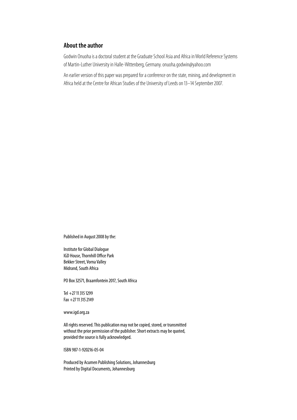### **About the author**

Godwin Onuoha is a doctoral student at the Graduate School Asia and Africa in World Reference Systems of Martin-Luther University in Halle-Wittenberg, Germany. onuoha.godwin@yahoo.com

An earlier version of this paper was prepared for a conference on the state, mining, and development in Africa held at the Centre for African Studies of the University of Leeds on 13–14 September 2007.

Published in August 2008 by the:

Institute for Global Dialogue IGD House, Thornhill Office Park Bekker Street, Vorna Valley Midrand, South Africa

PO Box 32571, Braamfontein 2017, South Africa

Tel +27 11 315 1299 Fax +27 11 315 2149

www.igd.org.za

All rights reserved. This publication may not be copied, stored, or transmitted without the prior permission of the publisher. Short extracts may be quoted, provided the source is fully acknowledged.

ISBN 987-1-920216-05-04

Produced by Acumen Publishing Solutions, Johannesburg Printed by Digital Documents, Johannesburg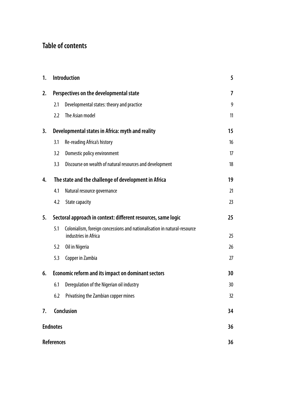## **Table of contents**

| 1. | <b>Introduction</b>                                           |                                                                                                  | 5              |
|----|---------------------------------------------------------------|--------------------------------------------------------------------------------------------------|----------------|
| 2. | Perspectives on the developmental state                       |                                                                                                  | $\overline{7}$ |
|    | 2.1                                                           | Developmental states: theory and practice                                                        | 9              |
|    | 2.2                                                           | The Asian model                                                                                  | 11             |
| 3. | Developmental states in Africa: myth and reality              |                                                                                                  | 15             |
|    | 3.1                                                           | Re-reading Africa's history                                                                      | 16             |
|    | 3.2                                                           | Domestic policy environment                                                                      | 17             |
|    | 3.3                                                           | Discourse on wealth of natural resources and development                                         | 18             |
| 4. | The state and the challenge of development in Africa          |                                                                                                  | 19             |
|    | 4.1                                                           | Natural resource governance                                                                      | 21             |
|    | 4.2                                                           | State capacity                                                                                   | 23             |
| 5. | Sectoral approach in context: different resources, same logic |                                                                                                  | 25             |
|    | 5.1                                                           | Colonialism, foreign concessions and nationalisation in natural-resource<br>industries in Africa | 25             |
|    | 5.2                                                           | Oil in Nigeria                                                                                   | 26             |
|    | 5.3                                                           | Copper in Zambia                                                                                 | 27             |
| 6. | <b>Economic reform and its impact on dominant sectors</b>     |                                                                                                  | 30             |
|    | 6.1                                                           | Deregulation of the Nigerian oil industry                                                        | 30             |
|    | 6.2                                                           | Privatising the Zambian copper mines                                                             | 32             |
| 7. | Conclusion                                                    |                                                                                                  | 34             |
|    | <b>Endnotes</b>                                               |                                                                                                  |                |
|    | <b>References</b>                                             |                                                                                                  |                |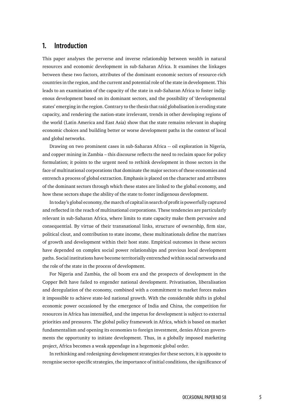### **1. Introduction**

This paper analyses the perverse and inverse relationship between wealth in natural resources and economic development in sub-Saharan Africa. It examines the linkages between these two factors, attributes of the dominant economic sectors of resource-rich countries in the region, and the current and potential role of the state in development. This leads to an examination of the capacity of the state in sub-Saharan Africa to foster indigenous development based on its dominant sectors, and the possibility of 'developmental states' emerging in the region. Contrary to the thesis that raid globalisation is eroding state capacity, and rendering the nation-state irrelevant, trends in other developing regions of the world (Latin America and East Asia) show that the state remains relevant in shaping economic choices and building better or worse development paths in the context of local and global networks.

Drawing on two prominent cases in sub-Saharan Africa -- oil exploration in Nigeria, and copper mining in Zambia – this discourse reflects the need to reclaim space for policy formulation; it points to the urgent need to rethink development in those sectors in the face of multinational corporations that dominate the major sectors of these economies and entrench a process of global extraction. Emphasis is placed on the character and attributes of the dominant sectors through which these states are linked to the global economy, and how these sectors shape the ability of the state to foster indigenous development.

In today's global economy, the march of capital in search of profit is powerfully captured and reflected in the reach of multinational corporations. These tendencies are particularly relevant in sub-Saharan Africa, where limits to state capacity make them pervasive and consequential. By virtue of their transnational links, structure of ownership, firm size, political clout, and contribution to state income, these multinationals define the matrixes of growth and development within their host state. Empirical outcomes in these sectors have depended on complex social power relationships and previous local development paths. Social institutions have become territorially entrenched within social networks and the role of the state in the process of development.

For Nigeria and Zambia, the oil boom era and the prospects of development in the Copper Belt have failed to engender national development. Privatisation, liberalisation and deregulation of the economy, combined with a commitment to market forces makes it impossible to achieve state-led national growth. With the considerable shifts in global economic power occasioned by the emergence of India and China, the competition for resources in Africa has intensified, and the impetus for development is subject to external priorities and pressures. The global policy framework in Africa, which is based on market fundamentalism and opening its economies to foreign investment, denies African governments the opportunity to initiate development. Thus, in a globally imposed marketing project, Africa becomes a weak appendage in a hegemonic global order.

In rethinking and redesigning development strategies for these sectors, it is apposite to recognise sector-specific strategies, the importance of initial conditions, the significance of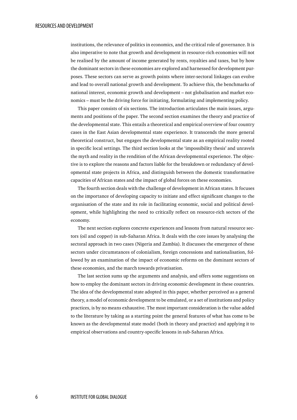institutions, the relevance of politics in economics, and the critical role of governance. It is also imperative to note that growth and development in resource-rich economies will not be realised by the amount of income generated by rents, royalties and taxes, but by how the dominant sectors in these economies are explored and harnessed for development purposes. These sectors can serve as growth points where inter-sectoral linkages can evolve and lead to overall national growth and development. To achieve this, the benchmarks of national interest, economic growth and development – not globalisation and market economics – must be the driving force for initiating, formulating and implementing policy.

This paper consists of six sections. The introduction articulates the main issues, arguments and positions of the paper. The second section examines the theory and practice of the developmental state. This entails a theoretical and empirical overview of four country cases in the East Asian developmental state experience. It transcends the more general theoretical construct, but engages the developmental state as an empirical reality rooted in specific local settings. The third section looks at the 'impossibility thesis' and unravels the myth and reality in the rendition of the African developmental experience. The objective is to explore the reasons and factors liable for the breakdown or redundancy of developmental state projects in Africa, and distinguish between the domestic transformative capacities of African states and the impact of global forces on these economies.

The fourth section deals with the challenge of development in African states. It focuses on the importance of developing capacity to initiate and effect significant changes to the organisation of the state and its role in facilitating economic, social and political development, while highlighting the need to critically reflect on resource-rich sectors of the economy.

The next section explores concrete experiences and lessons from natural resource sectors (oil and copper) in sub-Saharan Africa. It deals with the core issues by analysing the sectoral approach in two cases (Nigeria and Zambia). It discusses the emergence of these sectors under circumstances of colonialism, foreign concessions and nationalisation, followed by an examination of the impact of economic reforms on the dominant sectors of these economies, and the march towards privatisation.

The last section sums up the arguments and analysis, and offers some suggestions on how to employ the dominant sectors in driving economic development in these countries. The idea of the developmental state adopted in this paper, whether perceived as a general theory, a model of economic development to be emulated, or a set of institutions and policy practices, is by no means exhaustive. The most important consideration is the value added to the literature by taking as a starting point the general features of what has come to be known as the developmental state model (both in theory and practice) and applying it to empirical observations and country-specific lessons in sub-Saharan Africa.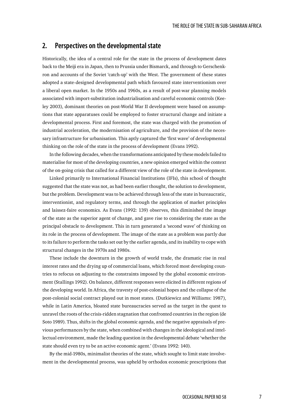## **2. Perspectives on the developmental state**

Historically, the idea of a central role for the state in the process of development dates back to the Meiji era in Japan, then to Prussia under Bismarck, and through to Gerschenkron and accounts of the Soviet 'catch-up' with the West. The government of these states adopted a state-designed developmental path which favoured state interventionism over a liberal open market. In the 1950s and 1960s, as a result of post-war planning models associated with import-substitution industrialisation and careful economic controls (Keeley 2003), dominant theories on post-World War II development were based on assumptions that state apparatuses could be employed to foster structural change and initiate a developmental process. First and foremost, the state was charged with the promotion of industrial acceleration, the modernisation of agriculture, and the provision of the necessary infrastructure for urbanisation. This aptly captured the 'first wave' of developmental thinking on the role of the state in the process of development (Evans 1992).

In the following decades, when the transformations anticipated by these models failed to materialise for most of the developing countries, a new opinion emerged within the context of the on-going crisis that called for a different view of the role of the state in development.

Linked primarily to International Financial Institutions (IFIs), this school of thought suggested that the state was not, as had been earlier thought, the solution to development, but the problem. Development was to be achieved through less of the state in bureaucratic, interventionist, and regulatory terms, and through the application of market principles and laissez-faire economics. As Evans (1992: 139) observes, this diminished the image of the state as the superior agent of change, and gave rise to considering the state as the principal obstacle to development. This in turn generated a 'second wave' of thinking on its role in the process of development. The image of the state as a problem was partly due to its failure to perform the tasks set out by the earlier agenda, and its inability to cope with structural changes in the 1970s and 1980s.

These include the downturn in the growth of world trade, the dramatic rise in real interest rates and the drying up of commercial loans, which forced most developing countries to refocus on adjusting to the constraints imposed by the global economic environment (Stallings 1992). On balance, different responses were elicited in different regions of the developing world. In Africa, the travesty of post-colonial hopes and the collapse of the post-colonial social contract played out in most states. (Dutkiewicz and Williams: 1987), while in Latin America, bloated state bureaucracies served as the target in the quest to unravel the roots of the crisis-ridden stagnation that confronted countries in the region (de Soto 1989). Thus, shifts in the global economic agenda, and the negative appraisals of previous performances by the state, when combined with changes in the ideological and intellectual environment, made the leading question in the developmental debate 'whether the state should even try to be an active economic agent.' (Evans 1992: 140).

By the mid-1980s, minimalist theories of the state, which sought to limit state involvement in the developmental process, was upheld by orthodox economic prescriptions that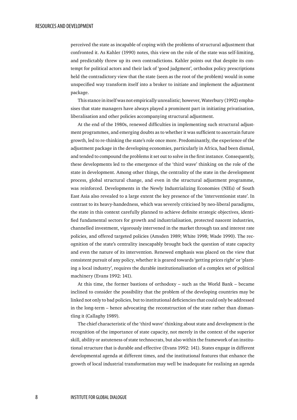perceived the state as incapable of coping with the problems of structural adjustment that confronted it. As Kahler (1990) notes, this view on the role of the state was self-limiting, and predictably threw up its own contradictions. Kahler points out that despite its contempt for political actors and their lack of 'good judgment', orthodox policy prescriptions held the contradictory view that the state (seen as the root of the problem) would in some unspecified way transform itself into a broker to initiate and implement the adjustment package.

This stance in itself was not empirically unrealistic; however, Waterbury (1992) emphasises that state managers have always played a prominent part in initiating privatisation, liberalisation and other policies accompanying structural adjustment.

At the end of the 1980s, renewed difficulties in implementing such structural adjustment programmes, and emerging doubts as to whether it was sufficient to ascertain future growth, led to re-thinking the state's role once more. Predominantly, the experience of the adjustment package in the developing economies, particularly in Africa, had been dismal, and tended to compound the problems it set out to solve in the first instance. Consequently, these developments led to the emergence of the 'third wave' thinking on the role of the state in development. Among other things, the centrality of the state in the development process, global structural change, and even in the structural adjustment programme, was reinforced. Developments in the Newly Industrializing Economies (NIEs) of South East Asia also revealed to a large extent the key presence of the 'interventionist state'. In contrast to its heavy-handedness, which was severely criticised by neo-liberal paradigms, the state in this context carefully planned to achieve definite strategic objectives, identified fundamental sectors for growth and industrialisation, protected nascent industries, channelled investment, vigorously intervened in the market through tax and interest rate policies, and offered targeted policies (Amsden 1989; White 1998; Wade 1990). The recognition of the state's centrality inescapably brought back the question of state capacity and even the nature of its intervention. Renewed emphasis was placed on the view that consistent pursuit of any policy, whether it is geared towards 'getting prices right' or 'planting a local industry', requires the durable institutionalisation of a complex set of political machinery (Evans 1992: 141).

At this time, the former bastions of orthodoxy – such as the World Bank – became inclined to consider the possibility that the problem of the developing countries may be linked not only to bad policies, but to institutional deficiencies that could only be addressed in the long-term – hence advocating the reconstruction of the state rather than dismantling it (Callaghy 1989).

The chief characteristic of the 'third wave' thinking about state and development is the recognition of the importance of state capacity, not merely in the context of the superior skill, ability or astuteness of state technocrats, but also within the framework of an institutional structure that is durable and effective (Evans 1992: 141). States engage in different developmental agenda at different times, and the institutional features that enhance the growth of local industrial transformation may well be inadequate for realising an agenda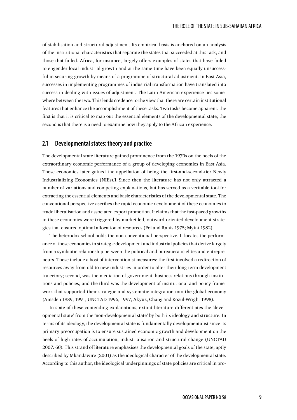of stabilisation and structural adjustment. Its empirical basis is anchored on an analysis of the institutional characteristics that separate the states that succeeded at this task, and those that failed. Africa, for instance, largely offers examples of states that have failed to engender local industrial growth and at the same time have been equally unsuccessful in securing growth by means of a programme of structural adjustment. In East Asia, successes in implementing programmes of industrial transformation have translated into success in dealing with issues of adjustment. The Latin American experience lies somewhere between the two. This lends credence to the view that there are certain institutional features that enhance the accomplishment of these tasks. Two tasks become apparent: the first is that it is critical to map out the essential elements of the developmental state; the second is that there is a need to examine how they apply to the African experience.

#### **2.1 Developmental states: theory and practice**

The developmental state literature gained prominence from the 1970s on the heels of the extraordinary economic performance of a group of developing economies in East Asia. These economies later gained the appellation of being the first-and-second-tier Newly Industrializing Economies (NIEs).1 Since then the literature has not only attracted a number of variations and competing explanations, but has served as a veritable tool for extracting the essential elements and basic characteristics of the developmental state. The conventional perspective ascribes the rapid economic development of these economies to trade liberalisation and associated export promotion. It claims that the fast-paced growths in these economies were triggered by market-led, outward-oriented development strategies that ensured optimal allocation of resources (Fei and Ranis 1975; Myint 1982).

The heterodox school holds the non-conventional perspective. It locates the performance of these economies in strategic development and industrial policies that derive largely from a symbiotic relationship between the political and bureaucratic elites and entrepreneurs. These include a host of interventionist measures: the first involved a redirection of resources away from old to new industries in order to alter their long-term development trajectory; second, was the mediation of government–business relations through institutions and policies; and the third was the development of institutional and policy framework that supported their strategic and systematic integration into the global economy (Amsden 1989; 1991; UNCTAD 1996; 1997; Akyuz, Chang and Kozul-Wright 1998).

In spite of these contending explanations, extant literature differentiates the 'developmental state' from the 'non-developmental state' by both its ideology and structure. In terms of its ideology, the developmental state is fundamentally developmentalist since its primary preoccupation is to ensure sustained economic growth and development on the heels of high rates of accumulation, industrialisation and structural change (UNCTAD 2007: 60). This strand of literature emphasises the developmental goals of the state, aptly described by Mkandawire (2001) as the ideological character of the developmental state. According to this author, the ideological underpinnings of state policies are critical in pro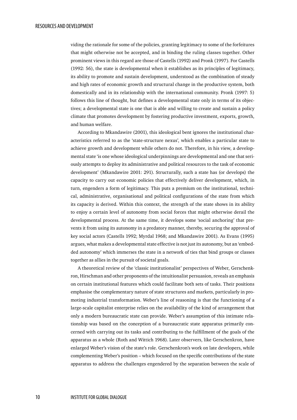viding the rationale for some of the policies, granting legitimacy to some of the forfeitures that might otherwise not be accepted, and in binding the ruling classes together. Other prominent views in this regard are those of Castells (1992) and Pronk (1997). For Castells (1992: 56), the state is developmental when it establishes as its principles of legitimacy, its ability to promote and sustain development, understood as the combination of steady and high rates of economic growth and structural change in the productive system, both domestically and in its relationship with the international community. Pronk (1997: 5) follows this line of thought, but defines a developmental state only in terms of its objectives; a developmental state is one that is able and willing to create and sustain a policy climate that promotes development by fostering productive investment, exports, growth, and human welfare.

According to Mkandawire (2001), this ideological bent ignores the institutional characteristics referred to as the 'state-structure nexus', which enables a particular state to achieve growth and development while others do not. Therefore, in his view, a developmental state 'is one whose ideological underpinnings are developmental and one that seriously attempts to deploy its administrative and political resources to the task of economic development' (Mkandawire 2001: 291). Structurally, such a state has (or develops) the capacity to carry out economic policies that effectively deliver development, which, in turn, engenders a form of legitimacy. This puts a premium on the institutional, technical, administrative, organisational and political configurations of the state from which its capacity is derived. Within this context, the strength of the state shows in its ability to enjoy a certain level of autonomy from social forces that might otherwise derail the developmental process. At the same time, it develops some 'social anchoring' that prevents it from using its autonomy in a predatory manner, thereby, securing the approval of key social actors (Castells 1992; Myrdal 1968; and Mkandawire 2001). As Evans (1995) argues, what makes a developmental state effective is not just its autonomy, but an 'embedded autonomy' which immerses the state in a network of ties that bind groups or classes together as allies in the pursuit of societal goals.

A theoretical review of the 'classic institutionalist' perspectives of Weber, Gerschenkron, Hirschman and other proponents of the intuitionalist persuasion, reveals an emphasis on certain institutional features which could facilitate both sets of tasks. Their positions emphasise the complementary nature of state structures and markets, particularly in promoting industrial transformation. Weber's line of reasoning is that the functioning of a large-scale capitalist enterprise relies on the availability of the kind of arrangement that only a modern bureaucratic state can provide. Weber's assumption of this intimate relationship was based on the conception of a bureaucratic state apparatus primarily concerned with carrying out its tasks and contributing to the fulfillment of the goals of the apparatus as a whole (Roth and Wittich 1968). Later observers, like Gerschenkron, have enlarged Weber's vision of the state's role. Gerschenkron's work on late developers, while complementing Weber's position – which focused on the specific contributions of the state apparatus to address the challenges engendered by the separation between the scale of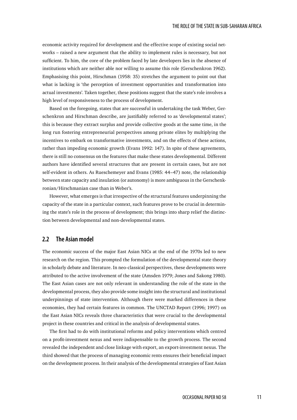economic activity required for development and the effective scope of existing social networks – raised a new argument that the ability to implement rules is necessary, but not sufficient. To him, the core of the problem faced by late developers lies in the absence of institutions which are neither able nor willing to assume this role (Gerschenkron 1962). Emphasising this point, Hirschman (1958: 35) stretches the argument to point out that what is lacking is 'the perception of investment opportunities and transformation into actual investments'. Taken together, these positions suggest that the state's role involves a high level of responsiveness to the process of development.

Based on the foregoing, states that are successful in undertaking the task Weber, Gerschenkron and Hirschman describe, are justifiably referred to as 'developmental states'; this is because they extract surplus and provide collective goods at the same time, in the long run fostering entrepreneurial perspectives among private elites by multiplying the incentives to embark on transformative investments, and on the effects of these actions, rather than impeding economic growth (Evans 1992: 147). In spite of these agreements, there is still no consensus on the features that make these states developmental. Different authors have identified several structures that are present in certain cases, but are not self-evident in others. As Rueschemeyer and Evans (1985: 44–47) note, the relationship between state capacity and insulation (or autonomy) is more ambiguous in the Gerschenkronian/Hirschmanian case than in Weber's.

However, what emerges is that irrespective of the structural features underpinning the capacity of the state in a particular context, such features prove to be crucial in determining the state's role in the process of development; this brings into sharp relief the distinction between developmental and non-developmental states.

#### **2.2 The Asian model**

The economic success of the major East Asian NICs at the end of the 1970s led to new research on the region. This prompted the formulation of the developmental state theory in scholarly debate and literature. In neo-classical perspectives, these developments were attributed to the active involvement of the state (Amsden 1979; Jones and Sakong 1980). The East Asian cases are not only relevant in understanding the role of the state in the developmental process, they also provide some insight into the structural and institutional underpinnings of state intervention. Although there were marked differences in these economies, they had certain features in common. The UNCTAD Report (1996; 1997) on the East Asian NICs reveals three characteristics that were crucial to the developmental project in these countries and critical in the analysis of developmental states.

The first had to do with institutional reforms and policy interventions which centred on a profit-investment nexus and were indispensable to the growth process. The second revealed the independent and close linkage with export, an export-investment nexus. The third showed that the process of managing economic rents ensures their beneficial impact on the development process. In their analysis of the developmental strategies of East Asian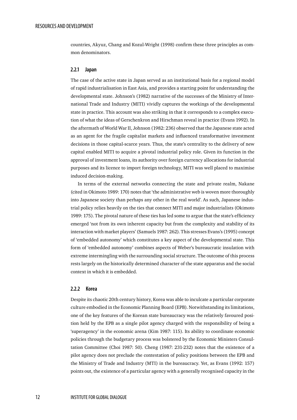countries, Akyuz, Chang and Kozul-Wright (1998) confirm these three principles as common denominators.

#### **2.2.1 Japan**

The case of the active state in Japan served as an institutional basis for a regional model of rapid industrialisation in East Asia, and provides a starting point for understanding the developmental state. Johnson's (1982) narrative of the successes of the Ministry of International Trade and Industry (MITI) vividly captures the workings of the developmental state in practice. This account was also striking in that it corresponds to a complex execution of what the ideas of Gerschenkron and Hirschman reveal in practice (Evans 1992). In the aftermath of World War II, Johnson (1982: 236) observed that the Japanese state acted as an agent for the fragile capitalist markets and influenced transformative investment decisions in those capital-scarce years. Thus, the state's centrality to the delivery of new capital enabled MITI to acquire a pivotal industrial policy role. Given its function in the approval of investment loans, its authority over foreign currency allocations for industrial purposes and its licence to import foreign technology, MITI was well placed to maximise induced decision-making.

In terms of the external networks connecting the state and private realm, Nakane (cited in Okimoto 1989: 170) notes that 'the administrative web is woven more thoroughly into Japanese society than perhaps any other in the real world'. As such, Japanese industrial policy relies heavily on the ties that connect MITI and major industrialists (Okimoto 1989: 175). The pivotal nature of these ties has led some to argue that the state's efficiency emerged 'not from its own inherent capacity but from the complexity and stability of its interaction with market players' (Samuels 1987: 262). This stresses Evans's (1995) concept of 'embedded autonomy' which constitutes a key aspect of the developmental state. This form of 'embedded autonomy' combines aspects of Weber's bureaucratic insulation with extreme intermingling with the surrounding social structure. The outcome of this process rests largely on the historically determined character of the state apparatus and the social context in which it is embedded.

#### **2.2.2 Korea**

Despite its chaotic 20th century history, Korea was able to inculcate a particular corporate culture embodied in the Economic Planning Board (EPB). Notwithstanding its limitations, one of the key features of the Korean state bureaucracy was the relatively favoured position held by the EPB as a single pilot agency charged with the responsibility of being a 'superagency' in the economic arena (Kim 1987: 115). Its ability to coordinate economic policies through the budgetary process was bolstered by the Economic Ministers Consultation Committee (Choi 1987: 50). Cheng (1987: 231-232) notes that the existence of a pilot agency does not preclude the contestation of policy positions between the EPB and the Ministry of Trade and Industry (MTI) in the bureaucracy. Yet, as Evans (1992: 157) points out, the existence of a particular agency with a generally recognised capacity in the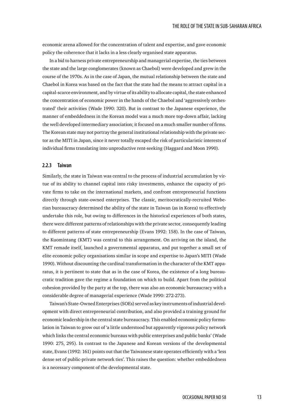economic arena allowed for the concentration of talent and expertise, and gave economic policy the coherence that it lacks in a less clearly organised state apparatus.

In a bid to harness private entrepreneurship and managerial expertise, the ties between the state and the large conglomerates (known as Chaebol) were developed and grew in the course of the 1970s. As in the case of Japan, the mutual relationship between the state and Chaebol in Korea was based on the fact that the state had the means to attract capital in a capital-scarce environment, and by virtue of its ability to allocate capital, the state enhanced the concentration of economic power in the hands of the Chaebol and 'aggressively orchestrated' their activities (Wade 1990: 320). But in contrast to the Japanese experience, the manner of embeddedness in the Korean model was a much more top-down affair, lacking the well developed intermediary association; it focused on a much smaller number of firms. The Korean state may not portray the general institutional relationship with the private sector as the MITI in Japan, since it never totally escaped the risk of particularistic interests of individual firms translating into unproductive rent-seeking (Haggard and Moon 1990).

#### **2.2.3 Taiwan**

Similarly, the state in Taiwan was central to the process of industrial accumulation by virtue of its ability to channel capital into risky investments, enhance the capacity of private firms to take on the international markets, and confront entrepreneurial functions directly through state-owned enterprises. The classic, meritocratically-recruited Weberian bureaucracy determined the ability of the state in Taiwan (as in Korea) to effectively undertake this role, but owing to differences in the historical experiences of both states, there were different patterns of relationships with the private sector, consequently leading to different patterns of state entrepreneurship (Evans 1992: 158). In the case of Taiwan, the Kuomintang (KMT) was central to this arrangement. On arriving on the island, the KMT remade itself, launched a governmental apparatus, and put together a small set of elite economic policy organisations similar in scope and expertise to Japan's MITI (Wade 1990). Without discounting the cardinal transformation in the character of the KMT apparatus, it is pertinent to state that as in the case of Korea, the existence of a long bureaucratic tradition gave the regime a foundation on which to build. Apart from the political cohesion provided by the party at the top, there was also an economic bureaucracy with a considerable degree of managerial experience (Wade 1990: 272-273).

Taiwan's State-Owned Enterprises (SOEs) served as key instruments of industrial development with direct entrepreneurial contribution, and also provided a training ground for economic leadership in the central state bureaucracy. This enabled economic policy formulation in Taiwan to grow out of 'a little understood but apparently vigorous policy network which links the central economic bureaus with public enterprises and public banks' (Wade 1990: 275, 295). In contrast to the Japanese and Korean versions of the developmental state, Evans (1992: 161) points out that the Taiwanese state operates efficiently with a 'less dense set of public-private network ties'. This raises the question: whether embeddedness is a necessary component of the developmental state.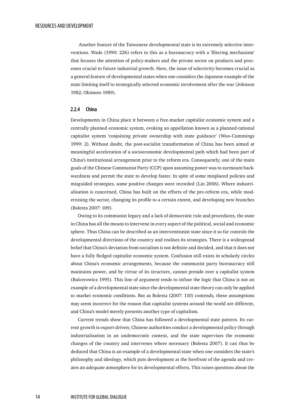Another feature of the Taiwanese developmental state is its extremely selective interventions. Wade (1990: 226) refers to this as a bureaucracy with a 'filtering mechanism' that focuses the attention of policy-makers and the private sector on products and processes crucial to future industrial growth. Here, the issue of selectivity becomes crucial as a general feature of developmental states when one considers the Japanese example of the state limiting itself to strategically selected economic involvement after the war (Johnson 1982; Okimoto 1989).

#### **2.2.4 China**

Developments in China place it between a free-market capitalist economic system and a centrally planned economic system, evoking an appellation known as a planned-rational capitalist system 'conjoining private ownership with state guidance' (Woo-Cummings 1999: 2). Without doubt, the post-socialist transformation of China has been aimed at meaningful acceleration of a socioeconomic developmental path which had been part of China's institutional arrangement prior to the reform era. Consequently, one of the main goals of the Chinese Communist Party (CCP) upon assuming power was to surmount backwardness and permit the state to develop faster. In spite of some misplaced policies and misguided strategies, some positive changes were recorded (Lin 2006). Where industrialisation is concerned, China has built on the efforts of the pre-reform era, while modernising the sector, changing its profile to a certain extent, and developing new branches (Bolesta 2007: 109).

Owing to its communist legacy and a lack of democratic rule and procedures, the state in China has all the means to intervene in every aspect of the political, social and economic sphere. Thus China can be described as an interventionist state since it so far controls the developmental directions of the country and realises its strategies. There is a widespread belief that China's deviation from socialism is not definite and decided, and that it does not have a fully fledged capitalist economic system. Confusion still exists in scholarly circles about China's economic arrangements, because the communist party bureaucracy still maintains power, and by virtue of its structure, cannot preside over a capitalist system (Balcerowicz 1995). This line of argument tends to infuse the logic that China is not an example of a developmental state since the developmental state theory can only be applied to market economic conditions. But as Bolesta (2007: 110) contends, these assumptions may seem incorrect for the reason that capitalist systems around the world are different, and China's model merely presents another type of capitalism.

Current trends show that China has followed a developmental state pattern. Its current growth is export-driven; Chinese authorities conduct a developmental policy through industrialisation in an undemocratic context, and the state supervises the economic changes of the country and intervenes where necessary (Bolesta 2007). It can thus be deduced that China is an example of a developmental state when one considers the state's philosophy and ideology, which puts development at the forefront of the agenda and creates an adequate atmosphere for its developmental efforts. This raises questions about the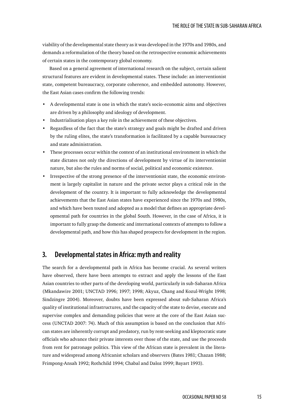viability of the developmental state theory as it was developed in the 1970s and 1980s, and demands a reformulation of the theory based on the retrospective economic achievements of certain states in the contemporary global economy.

Based on a general agreement of international research on the subject, certain salient structural features are evident in developmental states. These include: an interventionist state, competent bureaucracy, corporate coherence, and embedded autonomy. However, the East Asian cases confirm the following trends:

- A developmental state is one in which the state's socio-economic aims and objectives are driven by a philosophy and ideology of development.
- Industrialisation plays a key role in the achievement of these objectives.
- Regardless of the fact that the state's strategy and goals might be drafted and driven by the ruling elites, the state's transformation is facilitated by a capable bureaucracy and state administration.
- These processes occur within the context of an institutional environment in which the state dictates not only the directions of development by virtue of its interventionist nature, but also the rules and norms of social, political and economic existence.
- Irrespective of the strong presence of the interventionist state, the economic environment is largely capitalist in nature and the private sector plays a critical role in the development of the country. It is important to fully acknowledge the developmental achievements that the East Asian states have experienced since the 1970s and 1980s, and which have been touted and adopted as a model that defines an appropriate developmental path for countries in the global South. However, in the case of Africa, it is important to fully grasp the domestic and international contexts of attempts to follow a developmental path, and how this has shaped prospects for development in the region.

## **3. Developmental states in Africa: myth and reality**

The search for a developmental path in Africa has become crucial. As several writers have observed, there have been attempts to extract and apply the lessons of the East Asian countries to other parts of the developing world, particularly in sub-Saharan Africa (Mkandawire 2001; UNCTAD 1996; 1997; 1998; Akyuz, Chang and Kozul-Wright 1998; Sindzingre 2004). Moreover, doubts have been expressed about sub-Saharan Africa's quality of institutional infrastructures, and the capacity of the state to devise, execute and supervise complex and demanding policies that were at the core of the East Asian success (UNCTAD 2007: 74). Much of this assumption is based on the conclusion that African states are inherently corrupt and predatory, run by rent-seeking and kleptocratic state officials who advance their private interests over those of the state, and use the proceeds from rent for patronage politics. This view of the African state is prevalent in the literature and widespread among Africanist scholars and observers (Bates 1981; Chazan 1988; Frimpong-Ansah 1992; Rothchild 1994; Chabal and Daloz 1999; Bayart 1993).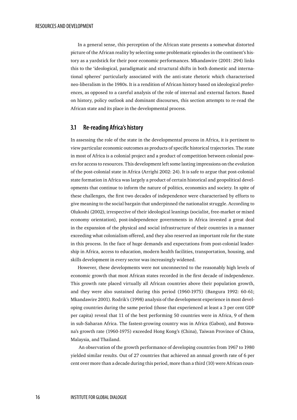In a general sense, this perception of the African state presents a somewhat distorted picture of the African reality by selecting some problematic episodes in the continent's history as a yardstick for their poor economic performances. Mkandawire (2001: 294) links this to the 'ideological, paradigmatic and structural shifts in both domestic and international spheres' particularly associated with the anti-state rhetoric which characterised neo-liberalism in the 1980s. It is a rendition of African history based on ideological preferences, as opposed to a careful analysis of the role of internal and external factors. Based on history, policy outlook and dominant discourses, this section attempts to re-read the African state and its place in the developmental process.

#### **3.1 Re-reading Africa's history**

In assessing the role of the state in the developmental process in Africa, it is pertinent to view particular economic outcomes as products of specific historical trajectories. The state in most of Africa is a colonial project and a product of competition between colonial powers for access to resources. This development left some lasting impressions on the evolution of the post-colonial state in Africa (Arrighi 2002: 24). It is safe to argue that post-colonial state formation in Africa was largely a product of certain historical and geopolitical developments that continue to inform the nature of politics, economics and society. In spite of these challenges, the first two decades of independence were characterised by efforts to give meaning to the social bargain that underpinned the nationalist struggle. According to Olukoshi (2002), irrespective of their ideological leanings (socialist, free-market or mixed economy orientation), post-independence governments in Africa invested a great deal in the expansion of the physical and social infrastructure of their countries in a manner exceeding what colonialism offered, and they also reserved an important role for the state in this process. In the face of huge demands and expectations from post-colonial leadership in Africa, access to education, modern health facilities, transportation, housing, and skills development in every sector was increasingly widened.

However, these developments were not unconnected to the reasonably high levels of economic growth that most African states recorded in the first decade of independence. This growth rate placed virtually all African countries above their population growth, and they were also sustained during this period (1960-1975) (Bangura 1992: 60-61; Mkandawire 2001). Rodrik's (1998) analysis of the development experience in most developing countries during the same period (those that experienced at least a 3 per cent GDP per capita) reveal that 11 of the best performing 50 countries were in Africa, 9 of them in sub-Saharan Africa. The fastest-growing country was in Africa (Gabon), and Botswana's growth rate (1960-1975) exceeded Hong Kong's (China), Taiwan Province of China, Malaysia, and Thailand.

 An observation of the growth performance of developing countries from 1967 to 1980 yielded similar results. Out of 27 countries that achieved an annual growth rate of 6 per cent over more than a decade during this period, more than a third (10) were African coun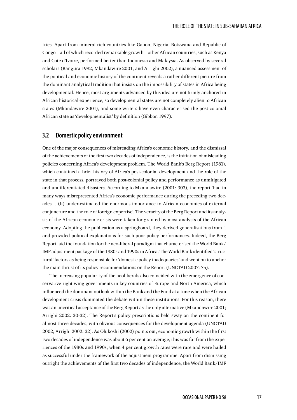tries. Apart from mineral-rich countries like Gabon, Nigeria, Botswana and Republic of Congo – all of which recorded remarkable growth – other African countries, such as Kenya and Cote d'Ivoire, performed better than Indonesia and Malaysia. As observed by several scholars (Bangura 1992; Mkandawire 2001; and Arrighi 2002), a nuanced assessment of the political and economic history of the continent reveals a rather different picture from the dominant analytical tradition that insists on the impossibility of states in Africa being developmental. Hence, most arguments advanced by this idea are not firmly anchored in African historical experience, so developmental states are not completely alien to African states (Mkandawire 2001), and some writers have even characterised the post-colonial African state as 'developmentalist' by definition (Gibbon 1997).

### **3.2 Domestic policy environment**

One of the major consequences of misreading Africa's economic history, and the dismissal of the achievements of the first two decades of independence, is the initiation of misleading policies concerning Africa's development problem. The World Bank's Berg Report (1981), which contained a brief history of Africa's post-colonial development and the role of the state in that process, portrayed both post-colonial policy and performance as unmitigated and undifferentiated disasters. According to Mkandawire (2001: 303), the report 'had in many ways misrepresented Africa's economic performance during the preceding two decades… (It) under-estimated the enormous importance to African economies of external conjuncture and the role of foreign expertise'. The veracity of the Berg Report and its analysis of the African economic crisis were taken for granted by most analysts of the African economy. Adopting the publication as a springboard, they derived generalisations from it and provided political explanations for such poor policy performances. Indeed, the Berg Report laid the foundation for the neo-liberal paradigm that characterised the World Bank/ IMF adjustment package of the 1980s and 1990s in Africa. The World Bank identified 'structural' factors as being responsible for 'domestic policy inadequacies' and went on to anchor the main thrust of its policy recommendations on the Report (UNCTAD 2007: 75).

The increasing popularity of the neoliberals also coincided with the emergence of conservative right-wing governments in key countries of Europe and North America, which influenced the dominant outlook within the Bank and the Fund at a time when the African development crisis dominated the debate within these institutions. For this reason, there was an uncritical acceptance of the Berg Report as the only alternative (Mkandawire 2001; Arrighi 2002: 30-32). The Report's policy prescriptions held sway on the continent for almost three decades, with obvious consequences for the development agenda (UNCTAD 2002; Arrighi 2002: 32). As Olukoshi (2002) points out, economic growth within the first two decades of independence was about 6 per cent on average; this was far from the experiences of the 1980s and 1990s, when 4 per cent growth rates were rare and were hailed as successful under the framework of the adjustment programme. Apart from dismissing outright the achievements of the first two decades of independence, the World Bank/IMF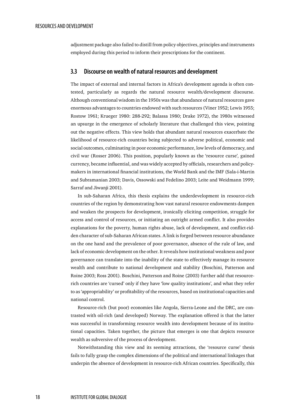adjustment package also failed to distill from policy objectives, principles and instruments employed during this period to inform their prescriptions for the continent.

#### **3.3 Discourse on wealth of natural resources and development**

The impact of external and internal factors in Africa's development agenda is often contested, particularly as regards the natural resource wealth/development discourse. Although conventional wisdom in the 1950s was that abundance of natural resources gave enormous advantages to countries endowed with such resources (Viner 1952; Lewis 1955; Rostow 1961; Krueger 1980: 288-292; Balassa 1980; Drake 1972), the 1980s witnessed an upsurge in the emergence of scholarly literature that challenged this view, pointing out the negative effects. This view holds that abundant natural resources exacerbate the likelihood of resource-rich countries being subjected to adverse political, economic and social outcomes, culminating in poor economic performance, low levels of democracy, and civil war (Rosser 2006). This position, popularly known as the 'resource curse', gained currency, became influential, and was widely accepted by officials, researchers and policymakers in international financial institutions, the World Bank and the IMF (Sala-i-Martin and Subramanian 2003; Davis, Ossowski and Fedelino 2003; Leite and Weidmann 1999; Sarraf and Jiwanji 2001).

In sub-Saharan Africa, this thesis explains the underdevelopment in resource-rich countries of the region by demonstrating how vast natural resource endowments dampen and weaken the prospects for development, ironically eliciting competition, struggle for access and control of resources, or initiating an outright armed conflict. It also provides explanations for the poverty, human rights abuse, lack of development, and conflict-ridden character of sub-Saharan African states. A link is forged between resource abundance on the one hand and the prevalence of poor governance, absence of the rule of law, and lack of economic development on the other. It reveals how institutional weakness and poor governance can translate into the inability of the state to effectively manage its resource wealth and contribute to national development and stability (Boschini, Patterson and Roine 2003; Ross 2001). Boschini, Patterson and Roine (2003) further add that resourcerich countries are 'cursed' only if they have 'low quality institutions', and what they refer to as 'appropriability' or profitability of the resources, based on institutional capacities and national control.

Resource-rich (but poor) economies like Angola, Sierra-Leone and the DRC, are contrasted with oil-rich (and developed) Norway. The explanation offered is that the latter was successful in transforming resource wealth into development because of its institutional capacities. Taken together, the picture that emerges is one that depicts resource wealth as subversive of the process of development.

Notwithstanding this view and its seeming attractions, the 'resource curse' thesis fails to fully grasp the complex dimensions of the political and international linkages that underpin the absence of development in resource-rich African countries. Specifically, this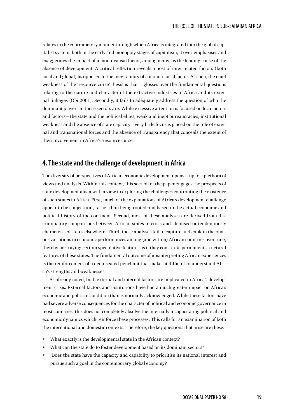relates to the contradictory manner through which Africa is integrated into the global capitalist system, both in the early and monopoly stages of capitalism; it over-emphasises and exaggerates the impact of a mono-causal factor, among many, as the leading cause of the absence of development. A critical reflection reveals a host of inter-related factors (both local and global) as opposed to the inevitability of a mono-causal factor. As such, the chief weakness of the 'resource curse' thesis is that it glosses over the fundamental questions relating to the nature and character of the extractive industries in Africa and its external linkages (Obi 2001). Secondly, it fails to adequately address the question of who the dominant players in these sectors are. While excessive attention is focused on local actors and factors – the state and the political elites, weak and inept bureaucracies, institutional weakness and the absence of state capacity – very little focus is placed on the role of external and transnational forces and the absence of transparency that conceals the extent of their involvement in Africa's 'resource curse'.

## **4. The state and the challenge of development in Africa**

The diversity of perspectives of African economic development opens it up to a plethora of views and analysis. Within this context, this section of the paper engages the prospects of state developmentalism with a view to exploring the challenges confronting the existence of such states in Africa. First, much of the explanations of Africa's development challenge appear to be conjectural, rather than being rooted and based in the actual economic and political history of the continent. Second, most of these analyses are derived from discriminatory comparisons between African states in crisis and idealised or tendentiously characterised states elsewhere. Third, these analyses fail to capture and explain the obvious variations in economic performances among (and within) African countries over time, thereby portraying certain speculative features as if they constitute permanent structural features of these states. The fundamental outcome of misinterpreting African experiences is the reinforcement of a deep-seated penchant that makes it difficult to understand Africa's strengths and weaknesses.

As already noted, both external and internal factors are implicated in Africa's development crisis. External factors and institutions have had a much greater impact on Africa's economic and political condition than is normally acknowledged. While these factors have had severe adverse consequences for the character of political and economic governance in most countries, this does not completely absolve the internally incapacitating political and economic dynamics which reinforce these processes. This calls for an examination of both the international and domestic contexts. Therefore, the key questions that arise are these:

- What exactly is the developmental state in the African context?
- What can the state do to foster development based on its dominant sectors?
- Does the state have the capacity and capability to prioritise its national interest and pursue such a goal in the contemporary global economy?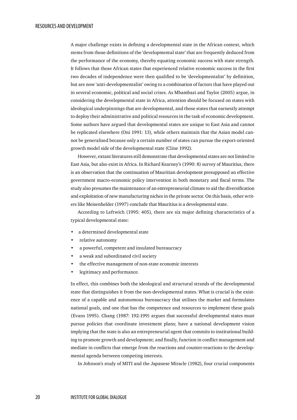A major challenge exists in defining a developmental state in the African context, which stems from those definitions of the 'developmental state' that are frequently deduced from the performance of the economy, thereby equating economic success with state strength. It follows that those African states that experienced relative economic success in the first two decades of independence were then qualified to be 'developmentalist' by definition, but are now 'anti-developmentalist' owing to a combination of factors that have played out in several economic, political and social crises. As Mbambazi and Taylor (2005) argue, in considering the developmental state in Africa, attention should be focused on states with ideological underpinnings that are developmental, and those states that earnestly attempt to deploy their administrative and political resources in the task of economic development. Some authors have argued that developmental states are unique to East Asia and cannot be replicated elsewhere (Oni 1991: 13), while others maintain that the Asian model cannot be generalised because only a certain number of states can pursue the export-oriented growth model side of the developmental state (Cline 1992).

However, extant literatures still demonstrate that developmental states are not limited to East Asia, but also exist in Africa. In Richard Kearney's (1990: 8) survey of Mauritius, there is an observation that the continuation of Mauritian development presupposed an effective government macro-economic policy intervention in both monetary and fiscal terms. The study also presumes the maintenance of an entrepreneurial climate to aid the diversification and exploitation of new manufacturing niches in the private sector. On this basis, other writers like Meisenhelder (1997) conclude that Mauritius is a developmental state.

According to Leftwich (1995: 405), there are six major defining characteristics of a typical developmental state:

- a determined developmental state
- relative autonomy
- a powerful, competent and insulated bureaucracy
- a weak and subordinated civil society
- the effective management of non-state economic interests
- legitimacy and performance.

In effect, this combines both the ideological and structural strands of the developmental state that distinguishes it from the non-developmental states. What is crucial is the existence of a capable and autonomous bureaucracy that utilises the market and formulates national goals, and one that has the competence and resources to implement these goals (Evans 1995). Chang (1987: 192-199) argues that successful developmental states must pursue policies that coordinate investment plans; have a national development vision implying that the state is also an entrepreneurial agent that commits to institutional building to promote growth and development; and finally, function in conflict management and mediate in conflicts that emerge from the reactions and counter-reactions to the developmental agenda between competing interests.

In Johnson's study of MITI and the Japanese Miracle (1982), four crucial components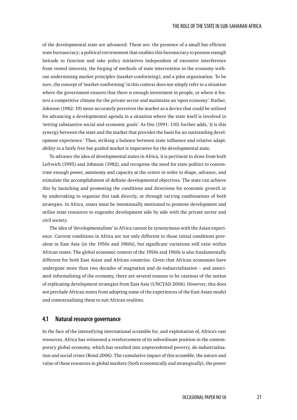of the developmental state are advanced. These are: the presence of a small but efficient state bureaucracy; a political environment that enables this bureaucracy to possess enough latitude to function and take policy initiatives independent of excessive interference from vested interests; the forging of methods of state intervention in the economy without undermining market principles (market-conforming); and a pilot organisation. To be sure, the concept of 'market-conforming' in this context does not simply refer to a situation where the government ensures that there is enough investment in people, or where it fosters a competitive climate for the private sector and maintains an 'open economy'. Rather, Johnson (1982: 19) more accurately perceives the market as a device that could be utilised for advancing a developmental agenda in a situation where the state itself is involved in 'setting substantive social and economic goals'. As Oni (1991: 110) further adds, 'it is this synergy between the state and the market that provides the basis for an outstanding development experience.' Thus, striking a balance between state influence and relative adaptability in a fairly free but guided market is imperative for the developmental state.

To advance the idea of developmental states in Africa, it is pertinent to draw from both Leftwich (1995) and Johnson (1982), and recognise the need for state politics to concentrate enough power, autonomy and capacity at the centre in order to shape, advance, and stimulate the accomplishment of definite developmental objectives. The state can achieve this by launching and promoting the conditions and directions for economic growth or by undertaking to organise this task directly, or through varying combinations of both strategies. In Africa, states must be intentionally motivated to promote development and utilise state resources to engender development side by side with the private sector and civil society.

The idea of 'developmentalism' in Africa cannot be synonymous with the Asian experience. Current conditions in Africa are not only different to those initial conditions prevalent in East Asia (in the 1950s and 1960s), but significant variations still exist within African states. The global economic context of the 1950s and 1960s is also fundamentally different for both East Asian and African countries. Given that African economies have undergone more than two decades of stagnation and de-industrialisation – and associated informalising of the economy, there are several reasons to be cautious of the notion of replicating development strategies from East Asia (UNCTAD 2006). However, this does not preclude African states from adopting some of the experiences of the East Asian model and contextualising them to suit African realities.

#### **4.1 Natural resource governance**

In the face of the intensifying international scramble for, and exploitation of, Africa's vast resources, Africa has witnessed a reinforcement of its subordinate position in the contemporary global economy, which has resulted into unprecedented poverty, de-industrialisation and social crises (Bond 2006). The cumulative impact of this scramble, the nature and value of these resources in global markets (both economically and strategically), the power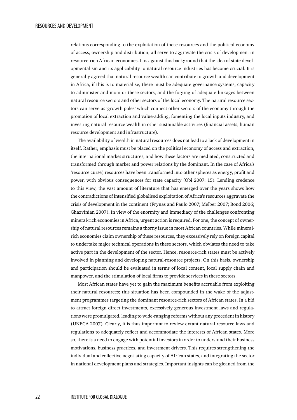relations corresponding to the exploitation of these resources and the political economy of access, ownership and distribution, all serve to aggravate the crisis of development in resource-rich African economies. It is against this background that the idea of state developmentalism and its applicability to natural resource industries has become crucial. It is generally agreed that natural resource wealth can contribute to growth and development in Africa, if this is to materialise, there must be adequate governance systems, capacity to administer and monitor these sectors, and the forging of adequate linkages between natural resource sectors and other sectors of the local economy. The natural resource sectors can serve as 'growth poles' which connect other sectors of the economy through the promotion of local extraction and value-adding, fomenting the local inputs industry, and investing natural resource wealth in other sustainable activities (financial assets, human resource development and infrastructure).

The availability of wealth in natural resources does not lead to a lack of development in itself. Rather, emphasis must be placed on the political economy of access and extraction, the international market structures, and how these factors are mediated, constructed and transformed through market and power relations by the dominant. In the case of Africa's 'resource curse', resources have been transformed into other spheres as energy, profit and power, with obvious consequences for state capacity (Obi 2007: 15). Lending credence to this view, the vast amount of literature that has emerged over the years shows how the contradictions of intensified globalised exploitation of Africa's resources aggravate the crisis of development in the continent (Frynas and Paulo 2007; Melber 2007; Bond 2006; Ghazvinian 2007). In view of the enormity and immediacy of the challenges confronting mineral-rich economies in Africa, urgent action is required. For one, the concept of ownership of natural resources remains a thorny issue in most African countries. While mineralrich economies claim ownership of these resources, they excessively rely on foreign capital to undertake major technical operations in these sectors, which obviates the need to take active part in the development of the sector. Hence, resource-rich states must be actively involved in planning and developing natural-resource projects. On this basis, ownership and participation should be evaluated in terms of local content, local supply chain and manpower, and the stimulation of local firms to provide services in these sectors.

Most African states have yet to gain the maximum benefits accruable from exploiting their natural resources; this situation has been compounded in the wake of the adjustment programmes targeting the dominant resource-rich sectors of African states. In a bid to attract foreign direct investments, excessively generous investment laws and regulations were promulgated, leading to wide-ranging reforms without any precedent in history (UNECA 2007). Clearly, it is thus important to review extant natural resource laws and regulations to adequately reflect and accommodate the interests of African states. More so, there is a need to engage with potential investors in order to understand their business motivations, business practices, and investment drivers. This requires strengthening the individual and collective negotiating capacity of African states, and integrating the sector in national development plans and strategies. Important insights can be gleaned from the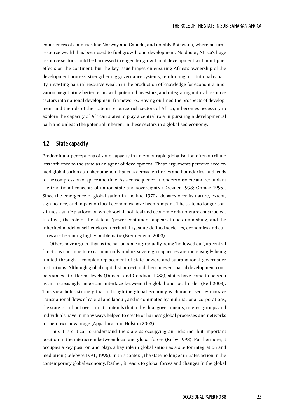experiences of countries like Norway and Canada, and notably Botswana, where naturalresource wealth has been used to fuel growth and development. No doubt, Africa's huge resource sectors could be harnessed to engender growth and development with multiplier effects on the continent, but the key issue hinges on ensuring Africa's ownership of the development process, strengthening governance systems, reinforcing institutional capacity, investing natural resource-wealth in the production of knowledge for economic innovation, negotiating better terms with potential investors, and integrating natural-resource sectors into national development frameworks. Having outlined the prospects of development and the role of the state in resource-rich sectors of Africa, it becomes necessary to explore the capacity of African states to play a central role in pursuing a developmental path and unleash the potential inherent in these sectors in a globalised economy.

#### **4.2 State capacity**

Predominant perceptions of state capacity in an era of rapid globalisation often attribute less influence to the state as an agent of development. These arguments perceive accelerated globalisation as a phenomenon that cuts across territories and boundaries, and leads to the compression of space and time. As a consequence, it renders obsolete and redundant the traditional concepts of nation-state and sovereignty (Drezner 1998; Ohmae 1995). Since the emergence of globalisation in the late 1970s, debates over its nature, extent, significance, and impact on local economies have been rampant. The state no longer constitutes a static platform on which social, political and economic relations are constructed. In effect, the role of the state as 'power containers' appears to be diminishing, and the inherited model of self-enclosed territoriality, state-defined societies, economies and cultures are becoming highly problematic (Brenner et al 2003).

Others have argued that as the nation-state is gradually being 'hollowed out', its central functions continue to exist nominally and its sovereign capacities are increasingly being limited through a complex replacement of state powers and supranational governance institutions. Although global capitalist project and their uneven spatial development compels states at different levels (Duncan and Goodwin 1988), states have come to be seen as an increasingly important interface between the global and local order (Keil 2003). This view holds strongly that although the global economy is characterised by massive transnational flows of capital and labour, and is dominated by multinational corporations, the state is still not overrun. It contends that individual governments, interest groups and individuals have in many ways helped to create or harness global processes and networks to their own advantage (Appadurai and Holston 2003).

Thus it is critical to understand the state as occupying an indistinct but important position in the interaction between local and global forces (Kirby 1993). Furthermore, it occupies a key position and plays a key role in globalisation as a site for integration and mediation (Lefebvre 1991; 1996). In this context, the state no longer initiates action in the contemporary global economy. Rather, it reacts to global forces and changes in the global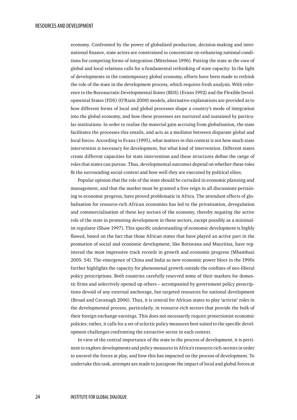economy. Confronted by the power of globalised production, decision-making and international finance, state actors are constrained to concentrate on enhancing national conditions for competing forms of integration (Mittelman 1996). Putting the state at the core of global and local relations calls for a fundamental rethinking of state capacity. In the light of developments in the contemporary global economy, efforts have been made to rethink the role of the state in the development process, which requires fresh analysis. With reference to the Bureaucratic Developmental States (BDS) (Evans 1992) and the Flexible Developmental States (FDS) (O'Riain 2000) models, alternative explanations are provided as to how different forms of local and global processes shape a country's mode of integration into the global economy, and how these processes are nurtured and sustained by particular institutions. In order to realise the material gain accruing from globalisation, the state facilitates the processes this entails, and acts as a mediator between disparate global and local forces. According to Evans (1995), what matters in this context is not how much state intervention is necessary for development, but what kind of intervention. Different states create different capacities for state intervention and these structures define the range of roles that states can pursue. Thus, developmental outcomes depend on whether these roles fit the surrounding social context and how well they are executed by political elites.

Popular opinion that the role of the state should be curtailed in economic planning and management, and that the market must be granted a free reign in all discussions pertaining to economic progress, have proved problematic in Africa. The attendant effects of globalisation for resource-rich African economies has led to the privatisation, deregulation and commercialisation of these key sectors of the economy, thereby negating the active role of the state in promoting development in these sectors, except possibly as a minimalist regulator (Shaw 1997). This specific understanding of economic development is highly flawed, based on the fact that those African states that have played an active part in the promotion of social and economic development, like Botswana and Mauritius, have registered the most impressive track records in growth and economic progress (Mbambazi 2005: 54). The emergence of China and India as new economic power blocs in the 1990s further highlights the capacity for phenomenal growth outside the confines of neo-liberal policy prescriptions. Both countries carefully reserved some of their markets for domestic firms and selectively opened up others – accompanied by government policy prescriptions devoid of any external anchorage, but targeted resources for national development (Broad and Cavanagh 2006). Thus, it is central for African states to play 'activist' roles in the developmental process, particularly, in resource-rich sectors that provide the bulk of their foreign exchange earnings. This does not necessarily require protectionist economic policies; rather, it calls for a set of eclectic policy measures best suited to the specific development challenges confronting the extractive sector in each context.

In view of the central importance of the state to the process of development, it is pertinent to explore developments and policy measures in Africa's resource rich-sectors in order to unravel the forces at play, and how this has impacted on the process of development. To undertake this task, attempts are made to juxtapose the impact of local and global forces at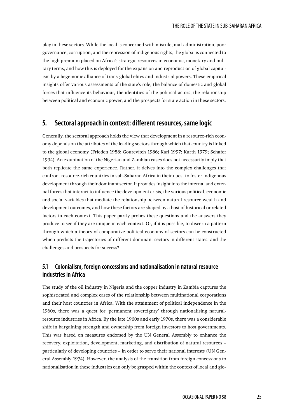play in these sectors. While the local is concerned with misrule, mal-administration, poor governance, corruption, and the repression of indigenous rights, the global is connected to the high premium placed on Africa's strategic resources in economic, monetary and military terms, and how this is deployed for the expansion and reproduction of global capitalism by a hegemonic alliance of trans-global elites and industrial powers. These empirical insights offer various assessments of the state's role, the balance of domestic and global forces that influence its behaviour, the identities of the political actors, the relationship between political and economic power, and the prospects for state action in these sectors.

## **5. Sectoral approach in context: different resources, same logic**

Generally, the sectoral approach holds the view that development in a resource-rich economy depends on the attributes of the leading sectors through which that country is linked to the global economy (Frieden 1988; Gourevitch 1986; Karl 1997; Kurth 1979; Schafer 1994). An examination of the Nigerian and Zambian cases does not necessarily imply that both replicate the same experience. Rather, it delves into the complex challenges that confront resource-rich countries in sub-Saharan Africa in their quest to foster indigenous development through their dominant sector. It provides insight into the internal and external forces that interact to influence the development crisis, the various political, economic and social variables that mediate the relationship between natural resource wealth and development outcomes, and how these factors are shaped by a host of historical or related factors in each context. This paper partly probes these questions and the answers they produce to see if they are unique in each context. Or, if it is possible, to discern a pattern through which a theory of comparative political economy of sectors can be constructed which predicts the trajectories of different dominant sectors in different states, and the challenges and prospects for success?

## **5.1 Colonialism, foreign concessions and nationalisation in natural resource industries in Africa**

The study of the oil industry in Nigeria and the copper industry in Zambia captures the sophisticated and complex cases of the relationship between multinational corporations and their host countries in Africa. With the attainment of political independence in the 1960s, there was a quest for 'permanent sovereignty' through nationalising naturalresource industries in Africa. By the late 1960s and early 1970s, there was a considerable shift in bargaining strength and ownership from foreign investors to host governments. This was based on measures endorsed by the UN General Assembly to enhance the recovery, exploitation, development, marketing, and distribution of natural resources – particularly of developing countries – in order to serve their national interests (UN General Assembly 1974). However, the analysis of the transition from foreign concessions to nationalisation in these industries can only be grasped within the context of local and glo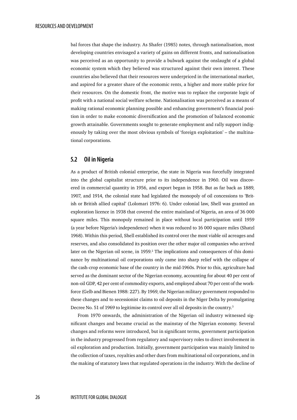bal forces that shape the industry. As Shafer (1985) notes, through nationalisation, most developing countries envisaged a variety of gains on different fronts, and nationalisation was perceived as an opportunity to provide a bulwark against the onslaught of a global economic system which they believed was structured against their own interest. These countries also believed that their resources were underpriced in the international market, and aspired for a greater share of the economic rents, a higher and more stable price for their resources. On the domestic front, the motive was to replace the corporate logic of profit with a national social welfare scheme. Nationalisation was perceived as a means of making rational economic planning possible and enhancing government's financial position in order to make economic diversification and the promotion of balanced economic growth attainable. Governments sought to generate employment and rally support indigenously by taking over the most obvious symbols of 'foreign exploitation' – the multinational corporations.

#### **5.2 Oil in Nigeria**

As a product of British colonial enterprise, the state in Nigeria was forcefully integrated into the global capitalist structure prior to its independence in 1960. Oil was discovered in commercial quantity in 1956, and export began in 1958. But as far back as 1889, 1907, and 1914, the colonial state had legislated the monopoly of oil concessions to 'British or British allied capital' (Lolomari 1976: 6). Under colonial law, Shell was granted an exploration licence in 1938 that covered the entire mainland of Nigeria, an area of 36 000 square miles. This monopoly remained in place without local participation until 1959 (a year before Nigeria's independence) when it was reduced to 16 000 square miles (Shatzl 1968). Within this period, Shell established its control over the most viable oil acreages and reserves, and also consolidated its position over the other major oil companies who arrived later on the Nigerian oil scene, in 1959.<sup>2</sup> The implications and consequences of this dominance by multinational oil corporations only came into sharp relief with the collapse of the cash-crop economic base of the country in the mid-1960s. Prior to this, agriculture had served as the dominant sector of the Nigerian economy, accounting for about 40 per cent of non-oil GDP, 42 per cent of commodity exports, and employed about 70 per cent of the workforce (Gelb and Bienen 1988: 227). By 1969, the Nigerian military government responded to these changes and to secessionist claims to oil deposits in the Niger Delta by promulgating Decree No. 51 of 1969 to legitimise its control over all oil deposits in the country.<sup>3</sup>

From 1970 onwards, the administration of the Nigerian oil industry witnessed significant changes and became crucial as the mainstay of the Nigerian economy. Several changes and reforms were introduced, but in significant terms, government participation in the industry progressed from regulatory and supervisory roles to direct involvement in oil exploration and production. Initially, government participation was mainly limited to the collection of taxes, royalties and other dues from multinational oil corporations, and in the making of statutory laws that regulated operations in the industry. With the decline of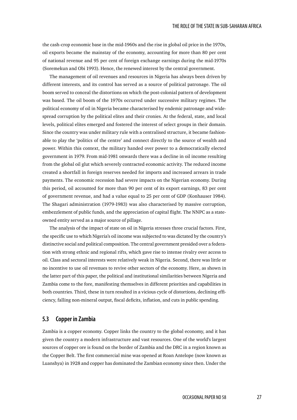the cash-crop economic base in the mid-1960s and the rise in global oil price in the 1970s, oil exports became the mainstay of the economy, accounting for more than 80 per cent of national revenue and 95 per cent of foreign exchange earnings during the mid-1970s (Soremekun and Obi 1993). Hence, the renewed interest by the central government.

The management of oil revenues and resources in Nigeria has always been driven by different interests, and its control has served as a source of political patronage. The oil boom served to conceal the distortions on which the post-colonial pattern of development was based. The oil boom of the 1970s occurred under successive military regimes. The political economy of oil in Nigeria became characterised by endemic patronage and widespread corruption by the political elites and their cronies. At the federal, state, and local levels, political elites emerged and fostered the interest of select groups in their domain. Since the country was under military rule with a centralised structure, it became fashionable to play the 'politics of the centre' and connect directly to the source of wealth and power. Within this context, the military handed over power to a democratically elected government in 1979. From mid-1981 onwards there was a decline in oil income resulting from the global oil glut which severely contracted economic activity. The reduced income created a shortfall in foreign reserves needed for imports and increased arrears in trade payments. The economic recession had severe impacts on the Nigerian economy. During this period, oil accounted for more than 90 per cent of its export earnings, 83 per cent of government revenue, and had a value equal to 25 per cent of GDP (Konhauser 1984). The Shagari administration (1979-1983) was also characterised by massive corruption, embezzlement of public funds, and the appreciation of capital flight. The NNPC as a stateowned entity served as a major source of pillage.

The analysis of the impact of state on oil in Nigeria stresses three crucial factors. First, the specific use to which Nigeria's oil income was subjected to was dictated by the country's distinctive social and political composition. The central government presided over a federation with strong ethnic and regional rifts, which gave rise to intense rivalry over access to oil. Class and sectoral interests were relatively weak in Nigeria. Second, there was little or no incentive to use oil revenues to revive other sectors of the economy. Here, as shown in the latter part of this paper, the political and institutional similarities between Nigeria and Zambia come to the fore, manifesting themselves in different priorities and capabilities in both countries. Third, these in turn resulted in a vicious cycle of distortions, declining efficiency, falling non-mineral output, fiscal deficits, inflation, and cuts in public spending.

#### **5.3 Copper in Zambia**

Zambia is a copper economy. Copper links the country to the global economy, and it has given the country a modern infrastructure and vast resources. One of the world's largest sources of copper ore is found on the border of Zambia and the DRC in a region known as the Copper Belt. The first commercial mine was opened at Roan Antelope (now known as Luanshya) in 1928 and copper has dominated the Zambian economy since then. Under the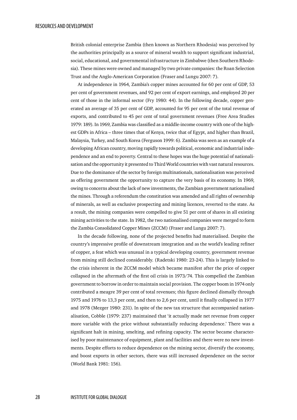British colonial enterprise Zambia (then known as Northern Rhodesia) was perceived by the authorities principally as a source of mineral wealth to support significant industrial, social, educational, and governmental infrastructure in Zimbabwe (then Southern Rhodesia). These mines were owned and managed by two private companies: the Roan Selection Trust and the Anglo-American Corporation (Fraser and Lungu 2007: 7).

At independence in 1964, Zambia's copper mines accounted for 60 per cent of GDP, 53 per cent of government revenues, and 92 per cent of export earnings, and employed 20 per cent of those in the informal sector (Fry 1980: 44). In the following decade, copper generated an average of 35 per cent of GDP, accounted for 95 per cent of the total revenue of exports, and contributed to 45 per cent of total government revenues (Free Area Studies 1979: 189). In 1969, Zambia was classified as a middle-income country with one of the highest GDPs in Africa – three times that of Kenya, twice that of Egypt, and higher than Brazil, Malaysia, Turkey, and South Korea (Ferguson 1999: 6). Zambia was seen as an example of a developing African country, moving rapidly towards political, economic and industrial independence and an end to poverty. Central to these hopes was the huge potential of nationalisation and the opportunity it presented to Third World countries with vast natural resources. Due to the dominance of the sector by foreign multinationals, nationalisation was perceived as offering government the opportunity to capture the very basis of its economy. In 1969, owing to concerns about the lack of new investments, the Zambian government nationalised the mines. Through a referendum the constitution was amended and all rights of ownership of minerals, as well as exclusive prospecting and mining licences, reverted to the state. As a result, the mining companies were compelled to give 51 per cent of shares in all existing mining activities to the state. In 1982, the two nationalised companies were merged to form the Zambia Consolidated Copper Mines (ZCCM) (Fraser and Lungu 2007: 7).

In the decade following, none of the projected benefits had materialised. Despite the country's impressive profile of downstream integration and as the world's leading refiner of copper, a feat which was unusual in a typical developing country, government revenue from mining still declined considerably. (Radetski 1980: 23-24). This is largely linked to the crisis inherent in the ZCCM model which became manifest after the price of copper collapsed in the aftermath of the first oil crisis in 1973/74. This compelled the Zambian government to borrow in order to maintain social provision. The copper boom in 1974 only contributed a meagre 39 per cent of total revenues; this figure declined dismally through 1975 and 1976 to 13,3 per cent, and then to 2,6 per cent, until it finally collapsed in 1977 and 1978 (Mezger 1980: 231). In spite of the new tax structure that accompanied nationalisation, Cobble (1979: 237) maintained that 'it actually made net revenue from copper more variable with the price without substantially reducing dependence.' There was a significant halt in mining, smelting, and refining capacity. The sector became characterised by poor maintenance of equipment, plant and facilities and there were no new investments. Despite efforts to reduce dependence on the mining sector, diversify the economy, and boost exports in other sectors, there was still increased dependence on the sector (World Bank 1981: 156).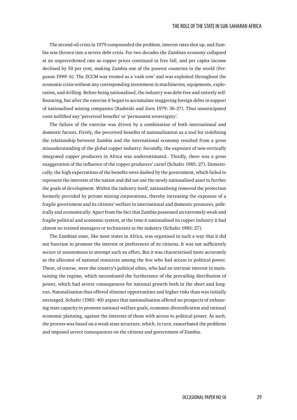The second oil crisis in 1979 compounded the problem, interest rates shot up, and Zambia was thrown into a severe debt crisis. For two decades the Zambian economy collapsed at an unprecedented rate as copper prices continued in free fall, and per capita income declined by 50 per cent, making Zambia one of the poorest countries in the world (Ferguson 1999: 6). The ZCCM was treated as a 'cash cow' and was exploited throughout the economic crisis without any corresponding investment in machineries, equipments, exploration, and drilling. Before being nationalised, the industry was debt-free and entirely selffinancing, but after the exercise it began to accumulate staggering foreign debts in support of nationalised mining companies (Radetski and Zorn 1979: 36-37). Thus unanticipated costs nullified any 'perceived benefits' or 'permanent sovereignty'.

The failure of the exercise was driven by a combination of both international and domestic factors. Firstly, the perceived benefits of nationalisation as a tool for redefining the relationship between Zambia and the international economy resulted from a gross misunderstanding of the global copper industry. Secondly, the exposure of non-vertically integrated copper producers in Africa was underestimated.. Thirdly, there was a gross exaggeration of the influence of the copper producers' cartel (Schafer 1985: 27). Domestically, the high expectations of the benefits were dashed by the government, which failed to represent the interests of the nation and did not use the newly nationalised asset to further the goals of development. Within the industry itself, nationalising removed the protection formerly provided by private mining corporations, thereby increasing the exposure of a fragile government and its citizens' welfare to international and domestic pressures, politically and economically. Apart from the fact that Zambia possessed an extremely weak and fragile political and economic system, at the time it nationalised its copper industry it had almost no trained managers or technicians in the industry (Schafer 1985: 27).

The Zambian state, like most states in Africa, was organised in such a way that it did not function to promote the interest or preferences of its citizens. It was not sufficiently secure or autonomous to attempt such an effort. But it was characterised more accurately as the allocator of national resources among the few who had access to political power. These, of course, were the country's political elites, who had an intrinsic interest in maintaining the regime, which necessitated the furtherance of the prevailing distribution of power, which had severe consequences for national growth both in the short and longrun. Natonalisation thus offered slimmer opportunities and higher risks than was initially envisaged. Schafer (1985: 40) argues that nationalisation offered no prospects of enhancing state capacity to promote national welfare goals, economic diversification and rational economic planning, against the interests of those with access to political power. As such, the process was based on a weak state structure, which, in turn, exacerbated the problems and imposed severe consequences on the citizens and government of Zambia.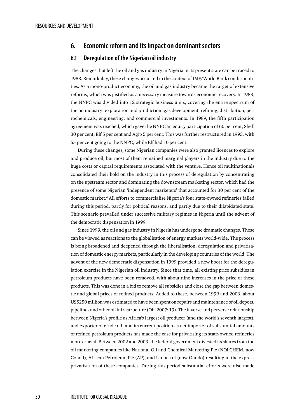## **6. Economic reform and its impact on dominant sectors**

#### **6.1 Deregulation of the Nigerian oil industry**

The changes that left the oil and gas industry in Nigeria in its present state can be traced to 1988. Remarkably, these changes occurred in the context of IMF/World Bank conditionalities. As a mono-product economy, the oil and gas industry became the target of extensive reforms, which was justified as a necessary measure towards economic recovery. In 1988, the NNPC was divided into 12 strategic business units, covering the entire spectrum of the oil industry: exploration and production, gas development, refining, distribution, petrochemicals, engineering, and commercial investments. In 1989, the fifth participation agreement was reached, which gave the NNPC an equity participation of 60 per cent, Shell 30 per cent, Elf 5 per cent and Agip 5 per cent. This was further restructured in 1993, with 55 per cent going to the NNPC, while Elf had 10 per cent.

During these changes, some Nigerian companies were also granted licences to explore and produce oil, but most of them remained marginal players in the industry due to the huge costs or capital requirements associated with the venture. Hence oil multinationals consolidated their hold on the industry in this process of deregulation by concentrating on the upstream sector and dominating the downstream marketing sector, which had the presence of some Nigerian 'independent marketers' that accounted for 30 per cent of the domestic market.4 All efforts to commercialise Nigeria's four state-owned refineries failed during this period, partly for political reasons, and partly due to their dilapidated state. This scenario prevailed under successive military regimes in Nigeria until the advent of the democratic dispensation in 1999.

Since 1999, the oil and gas industry in Nigeria has undergone dramatic changes. These can be viewed as reactions to the globalisation of energy markets world-wide. The process is being broadened and deepened through the liberalisation, deregulation and privatisation of domestic energy markets, particularly in the developing countries of the world. The advent of the new democratic dispensation in 1999 provided a new boost for the deregulation exercise in the Nigerian oil industry. Since that time, all existing price subsidies in petroleum products have been removed, with about nine increases in the price of these products. This was done in a bid to remove all subsidies and close the gap between domestic and global prices of refined products. Added to these, between 1999 and 2003, about US\$250 million was estimated to have been spent on repairs and maintenance of oil depots, pipelines and other oil infrastructure (Obi 2007: 19). The inverse and perverse relationship between Nigeria's profile as Africa's largest oil producer (and the world's seventh largest), and exporter of crude oil, and its current position as net importer of substantial amounts of refined petroleum products has made the case for privatising its state-owned refineries more crucial. Between 2002 and 2003, the federal government divested its shares from the oil marketing companies like National Oil and Chemical Marketing Plc (NOLCHEM, now Conoil), African Petroleum Plc (AP), and Unipetrol (now Oando) resulting in the express privatisation of these companies. During this period substantial efforts were also made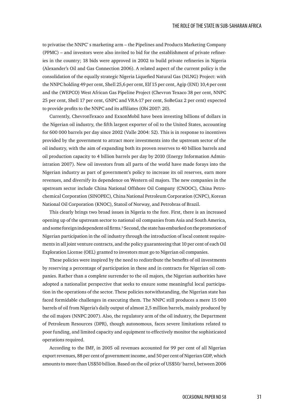to privatise the NNPC' s marketing arm – the Pipelines and Products Marketing Company (PPMC) – and investors were also invited to bid for the establishment of private refineries in the country; 18 bids were approved in 2002 to build private refineries in Nigeria (Alexander's Oil and Gas Connection 2006). A related aspect of the current policy is the consolidation of the equally strategic Nigeria Liquefied Natural Gas (NLNG) Project: with the NNPC holding 49 per cent, Shell 25,6 per cent, Elf 15 per cent, Agip (ENI) 10,4 per cent and the (WEPCO) West African Gas Pipeline Project (Chevron Texaco 38 per cent, NNPC 25 per cent, Shell 17 per cent, GNPC and VRA-17 per cent, SoBeGaz 2 per cent) expected to provide profits to the NNPC and its affiliates (Obi 2007: 20).

Currently, ChevronTexaco and ExxonMobil have been investing billions of dollars in the Nigerian oil industry, the fifth largest exporter of oil to the United States, accounting for 600 000 barrels per day since 2002 (Valle 2004: 52). This is in response to incentives provided by the government to attract more investments into the upstream sector of the oil industry, with the aim of expanding both its proven reserves to 40 billion barrels and oil production capacity to 4 billion barrels per day by 2010 (Energy Information Administration 2007). New oil investors from all parts of the world have made forays into the Nigerian industry as part of government's policy to increase its oil reserves, earn more revenues, and diversify its dependence on Western oil majors. The new companies in the upstream sector include China National Offshore Oil Company (CNOOC), China Petrochemical Corporation (SINOPEC), China National Petroleum Corporation (CNPC), Korean National Oil Corporation (KNOC), Statoil of Norway, and Petrobras of Brazil.

This clearly brings two broad issues in Nigeria to the fore. First, there is an increased opening up of the upstream sector to national oil companies from Asia and South America, and some foreign independent oil firms.<sup>5</sup> Second, the state has embarked on the promotion of Nigerian participation in the oil industry through the introduction of local content requirements in all joint venture contracts, and the policy guaranteeing that 10 per cent of each Oil Exploration License (OEL) granted to investors must go to Nigerian oil companies.

These policies were inspired by the need to redistribute the benefits of oil investments by reserving a percentage of participation in these and in contracts for Nigerian oil companies. Rather than a complete surrender to the oil majors, the Nigerian authorities have adopted a nationalist perspective that seeks to ensure some meaningful local participation in the operations of the sector. These policies notwithstanding, the Nigerian state has faced formidable challenges in executing them. The NNPC still produces a mere 15 000 barrels of oil from Nigeria's daily output of almost 2,5 million barrels, mainly produced by the oil majors (NNPC 2007). Also, the regulatory arm of the oil industry, the Department of Petroleum Resources (DPR), though autonomous, faces severe limitations related to poor funding, and limited capacity and equipment to effectively monitor the sophisticated operations required.

According to the IMF, in 2005 oil revenues accounted for 99 per cent of all Nigerian export revenues, 88 per cent of government income, and 50 per cent of Nigerian GDP, which amounts to more than US\$50 billion. Based on the oil price of US\$50/ barrel, between 2006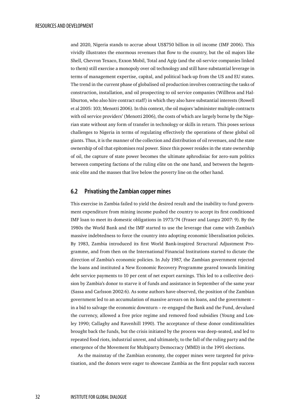and 2020, Nigeria stands to accrue about US\$750 billion in oil income (IMF 2006). This vividly illustrates the enormous revenues that flow to the country, but the oil majors like Shell, Chevron Texaco, Exxon Mobil, Total and Agip (and the oil-service companies linked to them) still exercise a monopoly over oil technology and still have substantial leverage in terms of management expertise, capital, and political back-up from the US and EU states. The trend in the current phase of globalised oil production involves contracting the tasks of construction, installation, and oil prospecting to oil service companies (Willbros and Halliburton, who also hire contract staff) in which they also have substantial interests (Rowell et al 2005: 103; Menotti 2006). In this context, the oil majors 'administer multiple contracts with oil service providers' (Menotti 2006), the costs of which are largely borne by the Nigerian state without any form of transfer in technology or skills in return. This poses serious challenges to Nigeria in terms of regulating effectively the operations of these global oil giants. Thus, it is the manner of the collection and distribution of oil revenues, and the state ownership of oil that epitomises real power. Since this power resides in the state ownership of oil, the capture of state power becomes the ultimate aphrodisiac for zero-sum politics between competing factions of the ruling elite on the one hand, and between the hegemonic elite and the masses that live below the poverty line on the other hand.

#### **6.2 Privatising the Zambian copper mines**

This exercise in Zambia failed to yield the desired result and the inability to fund government expenditure from mining income pushed the country to accept its first conditioned IMF loan to meet its domestic obligations in 1973/74 (Fraser and Lungu 2007: 9). By the 1980s the World Bank and the IMF started to use the leverage that came with Zambia's massive indebtedness to force the country into adopting economic liberalisation policies. By 1983, Zambia introduced its first World Bank-inspired Structural Adjustment Programme, and from then on the International Financial Institutions started to dictate the direction of Zambia's economic policies. In July 1987, the Zambian government rejected the loans and instituted a New Economic Recovery Programme geared towards limiting debt service payments to 10 per cent of net export earnings. This led to a collective decision by Zambia's donor to starve it of funds and assistance in September of the same year (Sassa and Carlsson 2002:6). As some authors have observed, the position of the Zambian government led to an accumulation of massive arrears on its loans, and the government – in a bid to salvage the economic downturn – re-engaged the Bank and the Fund, devalued the currency, allowed a free price regime and removed food subsidies (Young and Loxley 1990; Callaghy and Ravenhill 1990). The acceptance of these donor conditionalities brought back the funds, but the crisis initiated by the process was deep-seated, and led to repeated food riots, industrial unrest, and ultimately, to the fall of the ruling party and the emergence of the Movement for Multiparty Democracy (MMD) in the 1991 elections.

As the mainstay of the Zambian economy, the copper mines were targeted for privatisation, and the donors were eager to showcase Zambia as the first popular such success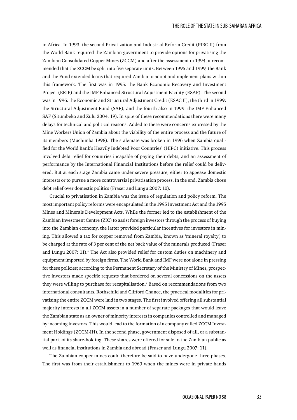in Africa. In 1993, the second Privatization and Industrial Reform Credit (PIRC II) from the World Bank required the Zambian government to provide options for privatising the Zambian Consolidated Copper Mines (ZCCM) and after the assessment in 1994, it recommended that the ZCCM be split into five separate units. Between 1995 and 1999, the Bank and the Fund extended loans that required Zambia to adopt and implement plans within this framework. The first was in 1995: the Bank Economic Recovery and Investment Project (ERIP) and the IMF Enhanced Structural Adjustment Facility (ESAF). The second was in 1996: the Economic and Structural Adjustment Credit (ESAC II); the third in 1999: the Structural Adjustment Fund (SAF); and the fourth also in 1999: the IMF Enhanced SAF (Situmbeko and Zulu 2004: 19). In spite of these recommendations there were many delays for technical and political reasons. Added to these were concerns expressed by the Mine Workers Union of Zambia about the viability of the entire process and the future of its members (Muchimba 1998). The stalemate was broken in 1996 when Zambia qualified for the World Bank's Heavily Indebted Poor Countries' (HIPC) initiative. This process involved debt relief for countries incapable of paying their debts, and an assessment of performance by the International Financial Institutions before the relief could be delivered. But at each stage Zambia came under severe pressure, either to appease domestic interests or to pursue a more controversial privatisation process. In the end, Zambia chose debt relief over domestic politics (Fraser and Lungu 2007: 10).

Crucial to privatisation in Zambia was the issue of regulation and policy reform. The most important policy reforms were encapsulated in the 1995 Investment Act and the 1995 Mines and Minerals Development Acts. While the former led to the establishment of the Zambian Investment Centre (ZIC) to assist foreign investors through the process of buying into the Zambian economy, the latter provided particular incentives for investors in mining. This allowed a tax for copper removed from Zambia, known as 'mineral royalty', to be charged at the rate of 3 per cent of the net back value of the minerals produced (Fraser and Lungu 2007: 11).<sup>6</sup> The Act also provided relief for custom duties on machinery and equipment imported by foreign firms. The World Bank and IMF were not alone in pressing for these policies; according to the Permanent Secretary of the Ministry of Mines, prospective investors made specific requests that bordered on several concessions on the assets they were willing to purchase for recapitalisation.7 Based on recommendations from two international consultants, Rothschild and Clifford Chance, the practical modalities for privatising the entire ZCCM were laid in two stages. The first involved offering all substantial majority interests in all ZCCM assets in a number of separate packages that would leave the Zambian state as an owner of minority interests in companies controlled and managed by incoming investors. This would lead to the formation of a company called ZCCM Investment Holdings (ZCCM-IH). In the second phase, government disposed of all, or a substantial part, of its share-holding. These shares were offered for sale to the Zambian public as well as financial institutions in Zambia and abroad (Fraser and Lungu 2007: 11).

The Zambian copper mines could therefore be said to have undergone three phases. The first was from their establishment to 1969 when the mines were in private hands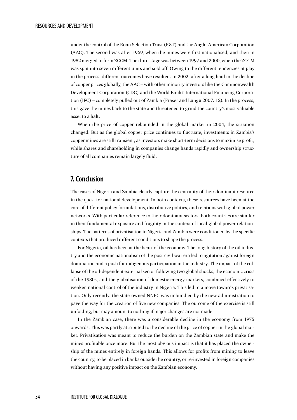under the control of the Roan Selection Trust (RST) and the Anglo-American Corporation (AAC). The second was after 1969, when the mines were first nationalised, and then in 1982 merged to form ZCCM. The third stage was between 1997 and 2000, when the ZCCM was split into seven different units and sold off. Owing to the different tendencies at play in the process, different outcomes have resulted. In 2002, after a long haul in the decline of copper prices globally, the AAC – with other minority investors like the Commonwealth Development Corporation (CDC) and the World Bank's International Financing Corporation (IFC) – completely pulled out of Zambia (Fraser and Lungu 2007: 12). In the process, this gave the mines back to the state and threatened to grind the country's most valuable asset to a halt.

When the price of copper rebounded in the global market in 2004, the situation changed. But as the global copper price continues to fluctuate, investments in Zambia's copper mines are still transient, as investors make short-term decisions to maximise profit, while shares and shareholding in companies change hands rapidly and ownership structure of all companies remain largely fluid.

## **7. Conclusion**

The cases of Nigeria and Zambia clearly capture the centrality of their dominant resource in the quest for national development. In both contexts, these resources have been at the core of different policy formulations, distributive politics, and relations with global power networks. With particular reference to their dominant sectors, both countries are similar in their fundamental exposure and fragility in the context of local-global power relationships. The patterns of privatisation in Nigeria and Zambia were conditioned by the specific contexts that produced different conditions to shape the process.

For Nigeria, oil has been at the heart of the economy. The long history of the oil industry and the economic nationalism of the post-civil war era led to agitation against foreign domination and a push for indigenous participation in the industry. The impact of the collapse of the oil-dependent external sector following two global shocks, the economic crisis of the 1980s, and the globalisation of domestic energy markets, combined effectively to weaken national control of the industry in Nigeria. This led to a move towards privatisation. Only recently, the state-owned NNPC was unbundled by the new administration to pave the way for the creation of five new companies. The outcome of the exercise is still unfolding, but may amount to nothing if major changes are not made.

In the Zambian case, there was a considerable decline in the economy from 1975 onwards. This was partly attributed to the decline of the price of copper in the global market. Privatisation was meant to reduce the burden on the Zambian state and make the mines profitable once more. But the most obvious impact is that it has placed the ownership of the mines entirely in foreign hands. This allows for profits from mining to leave the country, to be placed in banks outside the country, or re-invested in foreign companies without having any positive impact on the Zambian economy.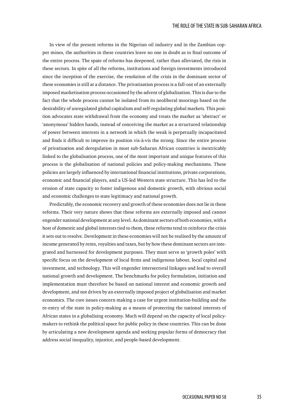In view of the present reforms in the Nigerian oil industry and in the Zambian copper mines, the authorities in these countries leave no one in doubt as to final outcome of the entire process. The spate of reforms has deepened, rather than alleviated, the risis in these sectors. In spite of all the reforms, institutions and foreign investments introduced since the inception of the exercise, the resolution of the crisis in the dominant sector of these economies is still at a distance. The privatisation process is a fall-out of an externally imposed marketisation process occasioned by the advent of globalisation. This is due to the fact that the whole process cannot be isolated from its neoliberal moorings based on the desirability of unregulated global capitalism and self-regulating global markets. This position advocates state withdrawal from the economy and treats the market as 'abstract' or 'anonymous' hidden hands, instead of conceiving the market as a structured relationship of power between interests in a network in which the weak is perpetually incapacitated and finds it difficult to improve its position vis-à-vis the strong. Since the entire process of privatisation and deregulation in most sub-Saharan African countries is inextricably linked to the globalisation process, one of the most important and unique features of this process is the globalisation of national policies and policy-making mechanisms. These policies are largely influenced by international financial institutions, private corporations, economic and financial players, and a US-led Western state structure. This has led to the erosion of state capacity to foster indigenous and domestic growth, with obvious social and economic challenges to state legitimacy and national growth.

Predictably, the economic recovery and growth of these economies does not lie in these reforms. Their very nature shows that these reforms are externally imposed and cannot engender national development at any level. As dominant sectors of both economies, with a host of domestic and global interests tied to them, these reforms tend to reinforce the crisis it sets out to resolve. Development in these economies will not be realised by the amount of income generated by rents, royalties and taxes, but by how these dominant sectors are integrated and harnessed for development purposes. They must serve as 'growth poles' with specific focus on the development of local firms and indigenous labour, local capital and investment, and technology. This will engender intersectoral linkages and lead to overall national growth and development. The benchmarks for policy formulation, initiation and implementation must therefore be based on national interest and economic growth and development, and not driven by an externally imposed project of globalisation and market economics. The core issues concern making a case for urgent institution-building and the re-entry of the state in policy-making as a means of protecting the national interests of African states in a globalising economy. Much will depend on the capacity of local policymakers to rethink the political space for public policy in these countries. This can be done by articulating a new development agenda and seeking popular forms of democracy that address social inequality, injustice, and people-based development.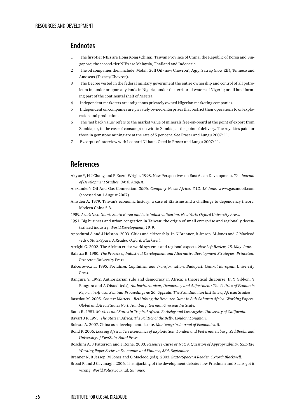## **Endnotes**

- 1 The first-tier NIEs are Hong Kong (China), Taiwan Province of China, the Republic of Korea and Singapore; the second-tier NIEs are Malaysia, Thailand and Indonesia.
- 2 The oil companies then include: Mobil, Gulf Oil (now Chevron), Agip, Satrap (now Elf), Tenneco and Amoseas (Texaco/Chevron).
- 3 The Decree vested in the federal military government the entire ownership and control of all petroleum in, under or upon any lands in Nigeria; under the territorial waters of Nigeria; or all land forming part of the continental shelf of Nigeria.
- 4 Independent marketers are indigenous privately owned Nigerian marketing companies.
- 5 Independent oil companies are privately owned enterprises that restrict their operations to oil exploration and production.
- 6 The 'net back value' refers to the market value of minerals free-on-board at the point of export from Zambia, or, in the case of consumption within Zambia, at the point of delivery. The royalties paid for those in gemstone mining are at the rate of 5 per cent. See Fraser and Lungu 2007: 11.
- 7 Excerpts of interview with Leonard Nkhata. Cited in Fraser and Lungu 2007: 11.

## **References**

- Akyuz Y, H J Chang and R Kozul-Wright. 1998. New Perspectives on East Asian Development. *The Journal of Development Studies, 34: 6. August.*
- Alexander's Oil And Gas Connection. *2006. Company News: Africa. 7:12. 13 June.* www.gasandoil.com (accessed on 1 August 2007).
- Amsden A. 1979. Taiwan's economic history: a case of Etatisme and a challenge to dependency theory. Modern China 5:3.
- 1989. *Asia's Next Giant: South Korea and Late Industrialization. New York: Oxford University Press.*
- 1991. Big business and urban congestion in Taiwan: the origin of small enterprise and regionally decentralized industry. *World Development, 19: 9.*
- Appadurai A and J Holston. 2003. Cities and citizenship. In N Brenner, B Jessop, M Jones and G Macleod (eds), *State/Space: A Reader. Oxford: Blackwell.*
- Arrighi G. 2002. The African crisis: world systemic and regional aspects. *New Left Review, 15. May-June.*
- Balassa B. 1980. *The Process of Industrial Development and Alternative Development Strategies. Princeton: Princeton University Press.*
- Balcerowicz L. 1995. *Socialism, Capitalism and Transformation. Budapest: Central European University Press.*

Bangura Y. 1992. Authoritarian rule and democracy in Africa: a theoretical discourse. In Y Gibbon, Y Bangura and A Ofstad (eds), *Authoritarianism, Democracy and Adjustment: The Politics of Economic Reform in Africa. Seminar Proceedings no 26. Uppsala: The Scandinavian Institute of African Studies.*

Basedau M. 2005. *Context Matters – Rethinking the Resource Curse in Sub-Saharan Africa. Working Papers: Global and Area Studies No 1. Hamburg: German Overseas Institute.*

Bates R. 1981. *Markets and States in Tropical Africa. Berkeley and Los Angeles: University of California.*

- Bayart J F. 1993. *The State in Africa: The Politics of the Belly. London: Longman.*
- Bolesta A. 2007. China as a developmental state. *Montenegrin Journal of Economics, 5.*
- Bond P. 2006. *Looting Africa: The Economics of Exploitation. London and Pietermaritzburg: Zed Books and University of KwaZulu-Natal Press.*
- Boschini A, J Patterson and J Roine. 2003. *Resource Curse or Not: A Question of Appropriability. SSE/EFI Working Paper Series in Economics and Finance, 534. September.*

Brenner N, B Jessop, M Jones and G Macleod (eds). 2003. *State/Space: A Reader. Oxford: Blackwell.*

Broad R and J Cavanagh. 2006. The hijacking of the development debate: how Friedman and Sachs got it wrong. *World Policy Journal. Summer.*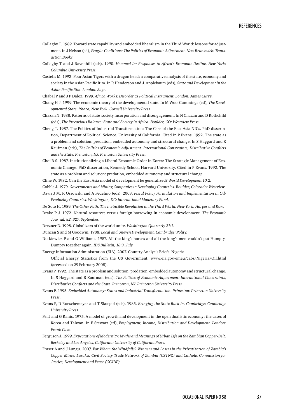- Callaghy T. 1989. Toward state capability and embedded liberalism in the Third World: lessons for adjustment. In J Nelson (ed), *Fragile Coalitions: The Politics of Economic Adjustment. New Brunswick: Transaction Books.*
- Callaghy T and J Ravenhill (eds). 1990. *Hemmed In: Responses to Africa's Economic Decline. New York: Columbia University Press.*
- Castells M. 1992. Four Asian Tigers with a dragon head: a comparative analysis of the state, economy and society in the Asian Pacific Rim. In R Henderson and J. Applebaum (eds), *State and Development in the Asian Pacific Rim. London: Sage.*
- Chabal P and J P Daloz. 1999. *Africa Works: Disorder as Political Instrument. London: James Curry.*
- Chang H J. 1999. The economic theory of the developmental state. In M Woo-Cummings (ed), *The Developmental State. Ithaca, New York: Cornell University Press.*
- Chazan N. 1988. Patterns of state-society incorporation and disengagement. In N Chazan and D Rothchild (eds), *The Precarious Balance: State and Society in Africa. Boulder, CO: Westview Press.*
- Cheng T. 1987. The Politics of Industrial Transformation: The Case of the East Asia NICs. PhD dissertation, Department of Political Science, University of California. Cited in P Evans. 1992. The state as a problem and solution: predation, embedded autonomy and structural change. In S Haggard and R Kaufman (eds), *The Politics of Economic Adjustment: International Constraints, Distributive Conflicts and the State. Princeton, NJ: Princeton University Press.*
- Choi B S. 1987. Institutionalizing a Liberal Economic Order in Korea: The Strategic Management of Economic Change. PhD dissertation, Kennedy School, Harvard University. Cited in P Evans. 1992. The state as a problem and solution: predation, embedded autonomy and structural change.
- Cline W. 1982. Can the East Asia model of development be generalized? *World Development 10:2.*

Cobble J. 1979. *Governments and Mining Companies in Developing Countries. Boulder, Colorado: Westview.*

Davis J M, R Ossowski and A Fedelino (eds). 2003. *Fiscal Policy Formulation and Implementation in Oil-Producing Countries. Washington, DC: International Monetary Fund.*

De Soto H. 1989. *The Other Path: The Invincible Revolution in the Third World. New York: Harper and Row.*

- Drake P J. 1972. Natural resources versus foreign borrowing in economic development. *The Economic Journal, 82: 327. September.*
- Drezner D. 1998. Globalizers of the world unite. *Washington Quarterly 21:1.*

Duncan S and M Goodwin. 1988. *Local and Uneven Development. Cambridge: Polity.*

- Dutkiewicz P and G Williams. 1987. All the king's horses and all the king's men couldn't put Humpty-Dumpty together again. *IDS Bulletin, 18:3. July.*
- Energy Information Administration (EIA). 2007. Country Analysis Briefs: Nigeria.
	- Official Energy Statistics from the US Government. www.eia.gov/emeu/cabs/Nigeria/Oil.html (accessed on 29 February 2008).
- Evans P. 1992. The state as a problem and solution: predation, embedded autonomy and structural change. In S Haggard and R Kaufman (eds), *The Politics of Economic Adjustment: International Constraints, Distributive Conflicts and the State. Princeton, NJ: Princeton University Press.*
- Evans P. 1995. *Embedded Autonomy: States and Industrial Transformation. Princeton: Princeton University Press.*
- Evans P, D Rueschemeyer and T Skocpol (eds). 1985. *Bringing the State Back In. Cambridge: Cambridge University Press.*
- Fei J and G Ranis. 1975. A model of growth and development in the open dualistic economy: the cases of Korea and Taiwan. In F Stewart (ed), *Employment, Income, Distribution and Development. London: Frank Cass.*
- Ferguson J. 1999. *Expectations of Modernity: Myths and Meanings of Urban Life on the Zambian Copper-Belt. Berkeley and Los Angeles, California: University of California Press.*
- Fraser A and J Lungu. 2007. *For Whom the Windfalls? Winners and Losers in the Privatization of Zambia's Copper Mines. Lusaka: Civil Society Trade Network of Zambia (CSTNZ) and Catholic Commission for Justice, Development and Peace (CCJDP).*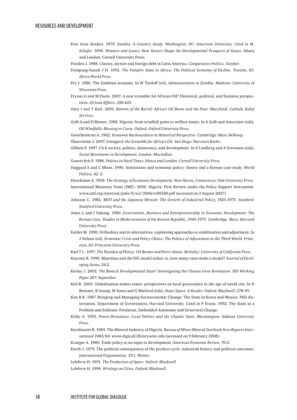#### RESOURCES AND DEVELOPMENT

- Free Area Studies. 1979. *Zambia: A Country Study. Washington, DC: American University. Cited in M. Schafer. 1994. Winners and Losers: How Sectors Shape the Developmental Prospects of States.* Ithaca and London: Cornell University Press.
- Frieden J. 1988. Classes, sectors and foreign debt in Latin America. *Comparative Politics. October.*
- Frimpong-Ansah J H. 1992. *The Vampire State in Africa: The Political Economy of Decline. Trenton, NJ: Africa World Press.*
- Fry J. 1980. The Zambian economy. In W Tordoff (ed), *Administration in Zambia. Madison: University of Wisconsin Press.*
- Frynas G and M Paulo. 2007. A new scramble for African Oil? Historical, political, and business perspectives. *African Affairs, 106:423.*
- Gary I and T Karl. 2003. *Bottom of the Barrel: Africa's Oil Boom and the Poor. Maryland: Catholic Relief Services.*
- Gelb A and H Bienen. 1988. Nigeria: from windfall gains to welfare losses. In A Gelb and Associates (eds), *Oil Windfalls: Blessing or Curse. Oxford: Oxford University Press.*

Gerschenkron A. 1962. *Economic Backwardness in Historical Perspective. Cambridge: Mass: Belknap.* Ghazvinian J. 2007. *Untapped: the Scramble for Africa's Oil. San Diego: Harcourt Books.*

- Gibbon P. 1997. Civil society, politics, democracy, and development. In S Lindberg and A Sverisson (eds), *Social Movements in Development. London: Macmillan.*
- Gourevitch P. 1986. *Politics in Hard Times. Ithaca and London: Cornell University Press.*

Haggard S and C Moon. 1990. Institutions and economic policy: theory and a Korean case study. *World Politics, 42: 2.*

Hirschman A. 1958. *The Strategy of Economic Development. New Haven, Connecticut: Yale University Press.*

- International Monetary Fund (IMF). 2006. Nigeria: First Review under the Policy Support Instrument. www.imf.org/external/pubs/ft/scr/2006/cr06180.pdf (accessed on 2 August 2007).
- Johnson C. 1982. *MITI and the Japanese Miracle: The Growth of Industrial Policy, 1925-1975. Stanford: Stanford University Press.*
- Jones L and I Sakong. 1980. *Government, Business and Entrepreneurship in Economic Development: The Korean Case. Studies in Modernization of the Korean Republic, 1945-1975. Cambridge, Mass: Harvard University Press.*
- Kahler M. 1990. Orthodoxy and its alternatives: explaining approaches to stabilization and adjustment. In J Nelson (ed), *Economic Crisis and Policy Choice: The Politics of Adjustment in the Third World. Princeton, NJ: Princeton University Press.*
- Karl T L. 1997. *The Paradox of Plenty: Oil Booms and Petro-States. Berkeley: University of California Press.*
- Kearney R. 1990. Mauritius and the NIC model redux: or, how many cases make a model? *Journal of Developing Areas, 24:2.*
- Keeley J. 2003. *The Biotech Developmental State? Investigating the Chinese Gene Revolution. IDS Working Paper 207. September.*
- Keil R. 2003. Globalization makes states: perspectives on local governance in the age of world city. In N Brenner, B Jessop, M Jones and G Macleod (eds), *State/Space: A Reader. Oxford: Blackwell: 278-95.*
- Kim B K. 1987. Bringing and Managing Socioeconomic Change: The State in Korea and Mexico. PhD dissertation. Department of Government, Harvard University. Cited in P Evans. 1992. The State as a Problem and Solution: Predation, Embedded Autonomy and Structural Change.
- Kirby A. 1993. *Power/Resistance: Local Politics and the Chaotic State. Bloomington: Indiana University Press.*
- Kornhauser B. 1984. The Mineral Industry of Nigeria. *Bureau of Mines Mineral Yearbook Area Reports International 1983/84.* www.digicoll.library.wisc.edu (accessed on 9 February 2008).

Krueger A. 1980. Trade policy as an input to development. *American Economic Review. 70:2.*

- Kurth J. 1979. The political consequences of the product cycle: industrial history and political outcomes. *International Organization. 33:1. Winter.*
- Lefebvre H. 1991. *The Production of Space. Oxford: Blackwell.*
- Lefebvre H. 1996. *Writings on Cities. Oxford: Blackwell.*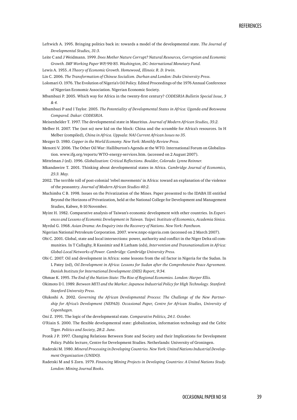- Leftwich A. 1995. Bringing politics back in: towards a model of the developmental state. *The Journal of Developmental Studies, 31:3.*
- Leite C and J Weidmann. 1999. *Does Mother Nature Corrupt? Natural Resources, Corruption and Economic Growth. IMF Working Paper WP/99/85. Washington, DC: International Monetary Fund.*

Lewis A. 1955. *A Theory of Economic Growth. Homewood, Illinois: R. D. Irwin.*

Lin C. 2006. *The Transformation of Chinese Socialism. Durhan and London: Duke University Press.*

Lolomari O. 1976. The Evolution of Nigeria's Oil Policy. Edited Proceedings of the 1976 Annual Conference of Nigerian Economic Association. Nigerian Economic Society.

- Mbambazi P. 2005. Which way for Africa in the twenty-first century? *CODESRIA Bulletin Special Issue, 3 & 4.*
- Mbambazi P and I Taylor. 2005. *The Potentiality of Developmental States in Africa: Uganda and Botswana Compared. Dakar: CODESRIA.*

Meisenhelder T. 1997. The developmental state in Mauritius. *Journal of Modern African Studies, 35:2.*

- Melber H. 2007. The (not so) new kid on the block: China and the scramble for Africa's resources. In H Melber (compiled), *China in Africa. Uppsala: NAI Current African Issues no 35.*
- Mezger D. 1980. *Copper in the World Economy. New York: Monthly Review Press.*
- Menotti V. 2006. The Other Oil War: Halliburton's Agenda at the WTO. International Forum on Globalization. www.ifg.org/reports/WTO-energy-services.htm. (accessed on 2 August 2007).

Mittelman J (ed). 1996. *Globalization: Critical Reflections. Boulder, Colorado: Lynne Reinner.*

- Mkandawire T. 2001. Thinking about developmental states in Africa. *Cambridge Journal of Economics, 25:3. May.*
- 2002. The terrible toll of post-colonial 'rebel movements' in Africa: toward an explanation of the violence of the peasantry. *Journal of Modern African Studies 40:2.*
- Muchimba C B. 1998. Issues on the Privatization of the Mines. Paper presented to the IDABA III entitled Beyond the Horizons of Privatization, held at the National College for Development and Management Studies, Kabwe, 8-10 November.
- Myint H. 1982. Comparative analysis of Taiwan's economic development with other countries. In *Experiences and Lessons of Economic Development in Taiwan. Taipei: Institute of Economics, Academia Sinica.*
- Myrdal G. 1968. *Asian Drama: An Enquiry into the Recovery of Nations. New York: Pantheon.*

Nigerian National Petroleum Corporation. 2007. www.nnpc-nigeria.com (accessed on 2 March 2007).

- Obi C. 2001. Global, state and local intersections: power, authority and conflict in the Niger Delta oil communities. In T Callaghy, R Kassimir and R Latham (eds), *Intervention and Transnationalism in Africa: Global-Local Networks of Power. Cambridge: Cambridge University Press.*
- Obi C. 2007. Oil and development in Africa: some lessons from the oil factor in Nigeria for the Sudan. In L Patey (ed), *Oil Development in Africa: Lessons for Sudan after the Comprehensive Peace Agreement. Danish Institute for International Development (DIIS) Report, 9:34.*
- Ohmae K. 1995. *The End of the Nation-State: The Rise of Regional Economies. London: Harper Ellis.*
- Okimoto D I. 1989. *Between MITI and the Market: Japanese Industrial Policy for High Technology. Stanford: Stanford University Press.*
- Olukoshi A. 2002. *Governing the African Developmental Process: The Challenge of the New Partnership for Africa's Development (NEPAD). Occasional Paper, Centre for African Studies, University of Copenhagen.*
- Oni Z. 1991. The logic of the developmental state. *Comparative Politics, 24:1. October.*
- O'Riain S. 2000. The flexible developmental state: globalization, information technology and the Celtic Tiger. *Politics and Society, 28:2. June.*
- Pronk J P. 1997. Changing Relations Between State and Society and their Implications for Development Policy. Public lecture, Centre for Development Studies. Netherlands: University of Groningen.
- Radetski M. 1980. *Mineral Processing in Developing Countries. New York: United Nations Industrial Development Organization (UNIDO).*
- Radetski M and S Zorn. 1979. *Financing Mining Projects in Developing Countries: A United Nations Study. London: Mining Journal Books.*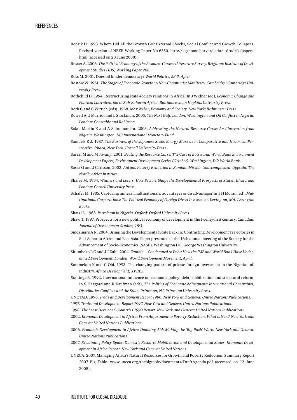#### **REFERENCES**

- Rodrik D. 1998. Where Did All the Growth Go? External Shocks, Social Conflict and Growth Collapses. Revised version of NBER Working Paper No 6350. http://ksghome.harvard.edu/~drodrik/papers. html (accessed on 20 June 2008).
- Rosser A. 2006. *The Political Economy of the Resource Curse: A Literature Survey. Brighton: Institute of Development Studies (IDS) Working Paper 268.*

Ross M. 2001. Does oil hinder democracy? *World Politics, 53:3. April.*

- Rostow W. 1961. *The Stages of Economic Growth: A Non-Communist Manifesto. Cambridge: Cambridge University Press.*
- Rothchild D. 1994. Restructuring state-society relations in Africa. In J Widner (ed), *Economic Change and Political Liberalization in Sub-Saharan Africa. Baltimore: John Hopkins University Press.*
- Roth G and C Wittich (eds). 1968. *Max Weber, Economy and Society. New York: Bedminster Press.*
- Rowell A, J Marriot and L Stockman. 2005. *The Next Gulf: London, Washington and Oil Conflict in Nigeria. London: Constable and Robinson.*
- Sala-i-Martin X and A Subramanian. 2003. *Addressing the Natural Resource Curse: An Illustration from Nigeria. Washington, DC: International Monetary Fund.*
- Samuels R J. 1987. *The Business of the Japanese State: Energy Markets in Comparative and Historical Perspective. Ithaca, New York: Cornell University Press.*
- Sarraf M and M Jiwanji. 2001. *Beating the Resource Curse: The Case of Botswana. World Bank Environment Development Papers, Environment Development Series (October). Washington, DC: World Bank.*
- Sassa O and J Carlsson. 2002. *Aid and Poverty Reduction in Zambia: Mission Unaccomplished. Uppsala: The Nordic Africa Institute.*
- Shafer M. 1994. *Winners and Losers: How Sectors Shape the Developmental Prospects of States. Ithaca and London: Cornell University Press.*
- Schafer M. 1985. Capturing mineral multinationals: advantages or disadvantage? In T H Moran (ed), *Multinational Corporations: The Political Economy of Foreign Direct Investment. Lexington, MA: Lexington Books.*
- Shatzl L. 1968. *Petroleum in Nigeria. Oxford: Oxford University Press.*
- Shaw T. 1997. Prospects for a new political economy of development in the twenty-first century. *Canadian Journal of Development Studies, 18:3.*
- Sindzingre A N. 2004. Bringing the Developmental State Back In: Contrasting Development Trajectories in Sub-Saharan Africa and East Asia. Paper presented at the 16th annual meeting of the Society for the Advancement of Socio-Economics (SASE). Washington DC: George Washington University.
- Situmbeko L C and J J Zulu. 2004. *Zambia -- Condemned to Debt: How the IMF and World Bank Have Undermined Development. London: World Development Movement, April.*
- Soremekun K and C Obi. 1993. The changing pattern of private foreign investment in the Nigerian oil industry. *Africa Development, XVIII:3.*
- Stallings B. 1992. International influence on economic policy: debt, stabilization and structural reform. In S Haggard and R Kaufman (eds), *The Politics of Economic Adjustment: International Constraints, Distributive Conflicts and the State. Princeton, NJ: Princeton University Press.*
- UNCTAD. 1996. *Trade and Development Report 1996. New York and Geneva: United Nations Publications.*
- 1997. *Trade and Development Report 1997. New York and Geneva: United Nations Publications.*
- 1998. *The Least Developed Countries 1998 Report. New York and Geneva: United Nations Publications.*
- 2002. *Economic Development in Africa: From Adjustment to Poverty Reduction: What is New? New York and Geneva: United Nations Publications.*
- 2006. *Economic Development in Africa: Doubling Aid: Making the 'Big Push' Work. New York and Geneva: United Nations Publications.*
- 2007. *Reclaiming Policy Space: Domestic Resource Mobilization and Developmental States. Economic Development in Africa Report. New York and Geneva: United Nations.*
- UNECA. 2007. Managing Africa's Natural Resources for Growth and Poverty Reduction. Summary Report 2007 Big Table. www.uneca.org/thebigtable/documents/DraftAgenda.pdf (accessed on 12 June 2008).